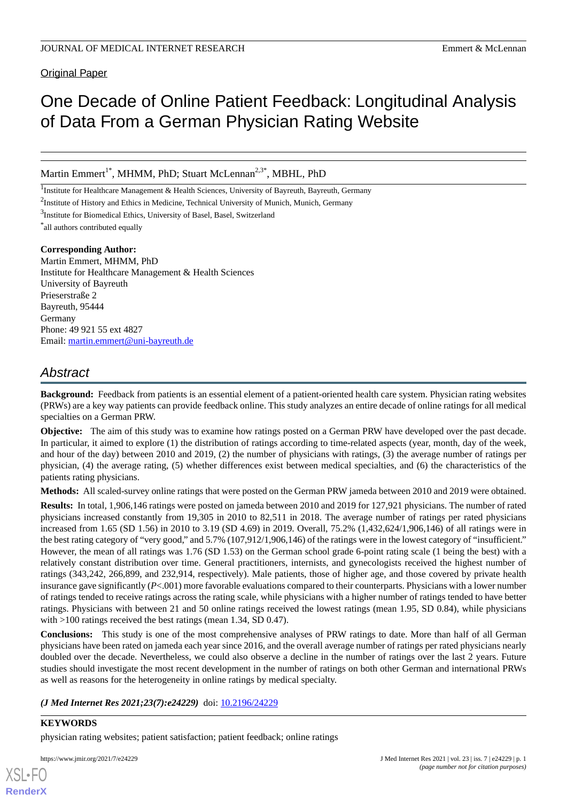Original Paper

# One Decade of Online Patient Feedback: Longitudinal Analysis of Data From a German Physician Rating Website

Martin Emmert<sup>1\*</sup>, MHMM, PhD; Stuart McLennan<sup>2,3\*</sup>, MBHL, PhD

<sup>1</sup>Institute for Healthcare Management & Health Sciences, University of Bayreuth, Bayreuth, Germany

<sup>2</sup>Institute of History and Ethics in Medicine, Technical University of Munich, Munich, Germany

<sup>3</sup>Institute for Biomedical Ethics, University of Basel, Basel, Switzerland

\* all authors contributed equally

### **Corresponding Author:**

Martin Emmert, MHMM, PhD Institute for Healthcare Management & Health Sciences University of Bayreuth Prieserstraße 2 Bayreuth, 95444 Germany Phone: 49 921 55 ext 4827 Email: [martin.emmert@uni-bayreuth.de](mailto:martin.emmert@uni-bayreuth.de)

# *Abstract*

**Background:** Feedback from patients is an essential element of a patient-oriented health care system. Physician rating websites (PRWs) are a key way patients can provide feedback online. This study analyzes an entire decade of online ratings for all medical specialties on a German PRW.

**Objective:** The aim of this study was to examine how ratings posted on a German PRW have developed over the past decade. In particular, it aimed to explore (1) the distribution of ratings according to time-related aspects (year, month, day of the week, and hour of the day) between 2010 and 2019, (2) the number of physicians with ratings, (3) the average number of ratings per physician, (4) the average rating, (5) whether differences exist between medical specialties, and (6) the characteristics of the patients rating physicians.

**Methods:** All scaled-survey online ratings that were posted on the German PRW jameda between 2010 and 2019 were obtained.

**Results:** In total, 1,906,146 ratings were posted on jameda between 2010 and 2019 for 127,921 physicians. The number of rated physicians increased constantly from 19,305 in 2010 to 82,511 in 2018. The average number of ratings per rated physicians increased from 1.65 (SD 1.56) in 2010 to 3.19 (SD 4.69) in 2019. Overall, 75.2% (1,432,624/1,906,146) of all ratings were in the best rating category of "very good," and 5.7% (107,912/1,906,146) of the ratings were in the lowest category of "insufficient." However, the mean of all ratings was 1.76 (SD 1.53) on the German school grade 6-point rating scale (1 being the best) with a relatively constant distribution over time. General practitioners, internists, and gynecologists received the highest number of ratings (343,242, 266,899, and 232,914, respectively). Male patients, those of higher age, and those covered by private health insurance gave significantly (*P*<.001) more favorable evaluations compared to their counterparts. Physicians with a lower number of ratings tended to receive ratings across the rating scale, while physicians with a higher number of ratings tended to have better ratings. Physicians with between 21 and 50 online ratings received the lowest ratings (mean 1.95, SD 0.84), while physicians with >100 ratings received the best ratings (mean 1.34, SD 0.47).

**Conclusions:** This study is one of the most comprehensive analyses of PRW ratings to date. More than half of all German physicians have been rated on jameda each year since 2016, and the overall average number of ratings per rated physicians nearly doubled over the decade. Nevertheless, we could also observe a decline in the number of ratings over the last 2 years. Future studies should investigate the most recent development in the number of ratings on both other German and international PRWs as well as reasons for the heterogeneity in online ratings by medical specialty.

*(J Med Internet Res 2021;23(7):e24229)* doi:  $10.2196/24229$ 

# **KEYWORDS**

[XSL](http://www.w3.org/Style/XSL)•FO **[RenderX](http://www.renderx.com/)**

physician rating websites; patient satisfaction; patient feedback; online ratings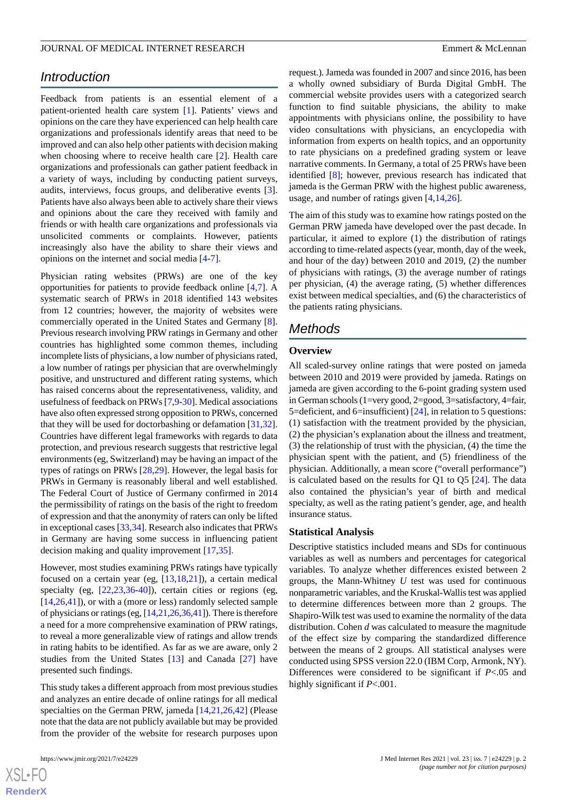# *Introduction*

Feedback from patients is an essential element of a patient-oriented health care system [[1\]](#page-13-0). Patients' views and opinions on the care they have experienced can help health care organizations and professionals identify areas that need to be improved and can also help other patients with decision making when choosing where to receive health care [\[2](#page-13-1)]. Health care organizations and professionals can gather patient feedback in a variety of ways, including by conducting patient surveys, audits, interviews, focus groups, and deliberative events [[3\]](#page-13-2). Patients have also always been able to actively share their views and opinions about the care they received with family and friends or with health care organizations and professionals via unsolicited comments or complaints. However, patients increasingly also have the ability to share their views and opinions on the internet and social media [[4-](#page-13-3)[7](#page-13-4)].

Physician rating websites (PRWs) are one of the key opportunities for patients to provide feedback online [[4](#page-13-3)[,7](#page-13-4)]. A systematic search of PRWs in 2018 identified 143 websites from 12 countries; however, the majority of websites were commercially operated in the United States and Germany [[8\]](#page-13-5). Previous research involving PRW ratings in Germany and other countries has highlighted some common themes, including incomplete lists of physicians, a low number of physicians rated, a low number of ratings per physician that are overwhelmingly positive, and unstructured and different rating systems, which has raised concerns about the representativeness, validity, and usefulness of feedback on PRWs [[7](#page-13-4)[,9](#page-13-6)-[30\]](#page-14-0). Medical associations have also often expressed strong opposition to PRWs, concerned that they will be used for doctorbashing or defamation [\[31](#page-14-1),[32\]](#page-14-2). Countries have different legal frameworks with regards to data protection, and previous research suggests that restrictive legal environments (eg, Switzerland) may be having an impact of the types of ratings on PRWs [[28](#page-14-3)[,29](#page-14-4)]. However, the legal basis for PRWs in Germany is reasonably liberal and well established. The Federal Court of Justice of Germany confirmed in 2014 the permissibility of ratings on the basis of the right to freedom of expression and that the anonymity of raters can only be lifted in exceptional cases [\[33](#page-14-5)[,34](#page-14-6)]. Research also indicates that PRWs in Germany are having some success in influencing patient decision making and quality improvement [[17](#page-14-7)[,35](#page-14-8)].

However, most studies examining PRWs ratings have typically focused on a certain year (eg, [\[13](#page-13-7),[18,](#page-14-9)[21](#page-14-10)]), a certain medical specialty (eg, [[22,](#page-14-11)[23,](#page-14-12)[36](#page-14-13)[-40](#page-15-0)]), certain cities or regions (eg, [[14](#page-13-8)[,26](#page-14-14),[41\]](#page-15-1)), or with a (more or less) randomly selected sample of physicians or ratings (eg, [\[14](#page-13-8)[,21](#page-14-10)[,26](#page-14-14)[,36](#page-14-13),[41](#page-15-1)]). There is therefore a need for a more comprehensive examination of PRW ratings, to reveal a more generalizable view of ratings and allow trends in rating habits to be identified. As far as we are aware, only 2 studies from the United States [[13\]](#page-13-7) and Canada [\[27](#page-14-15)] have presented such findings.

This study takes a different approach from most previous studies and analyzes an entire decade of online ratings for all medical specialties on the German PRW, jameda [\[14](#page-13-8),[21](#page-14-10)[,26](#page-14-14),[42\]](#page-15-2) (Please note that the data are not publicly available but may be provided from the provider of the website for research purposes upon

 $XS$ -FO **[RenderX](http://www.renderx.com/)**

request.). Jameda was founded in 2007 and since 2016, has been a wholly owned subsidiary of Burda Digital GmbH. The commercial website provides users with a categorized search function to find suitable physicians, the ability to make appointments with physicians online, the possibility to have video consultations with physicians, an encyclopedia with information from experts on health topics, and an opportunity to rate physicians on a predefined grading system or leave narrative comments. In Germany, a total of 25 PRWs have been identified [\[8](#page-13-5)]; however, previous research has indicated that jameda is the German PRW with the highest public awareness, usage, and number of ratings given [[4,](#page-13-3)[14](#page-13-8),[26\]](#page-14-14).

The aim of this study was to examine how ratings posted on the German PRW jameda have developed over the past decade. In particular, it aimed to explore (1) the distribution of ratings according to time-related aspects (year, month, day of the week, and hour of the day) between 2010 and 2019, (2) the number of physicians with ratings, (3) the average number of ratings per physician, (4) the average rating, (5) whether differences exist between medical specialties, and (6) the characteristics of the patients rating physicians.

# *Methods*

### **Overview**

All scaled-survey online ratings that were posted on jameda between 2010 and 2019 were provided by jameda. Ratings on jameda are given according to the 6-point grading system used in German schools (1=very good, 2=good, 3=satisfactory, 4=fair, 5=deficient, and 6=insufficient)  $[24]$  $[24]$ , in relation to 5 questions: (1) satisfaction with the treatment provided by the physician, (2) the physician's explanation about the illness and treatment, (3) the relationship of trust with the physician, (4) the time the physician spent with the patient, and (5) friendliness of the physician. Additionally, a mean score ("overall performance") is calculated based on the results for  $Q1$  to  $Q5$  [[24\]](#page-14-16). The data also contained the physician's year of birth and medical specialty, as well as the rating patient's gender, age, and health insurance status.

#### **Statistical Analysis**

Descriptive statistics included means and SDs for continuous variables as well as numbers and percentages for categorical variables. To analyze whether differences existed between 2 groups, the Mann-Whitney *U* test was used for continuous nonparametric variables, and the Kruskal-Wallis test was applied to determine differences between more than 2 groups. The Shapiro-Wilk test was used to examine the normality of the data distribution. Cohen *d* was calculated to measure the magnitude of the effect size by comparing the standardized difference between the means of 2 groups. All statistical analyses were conducted using SPSS version 22.0 (IBM Corp, Armonk, NY). Differences were considered to be significant if *P*<.05 and highly significant if *P*<.001.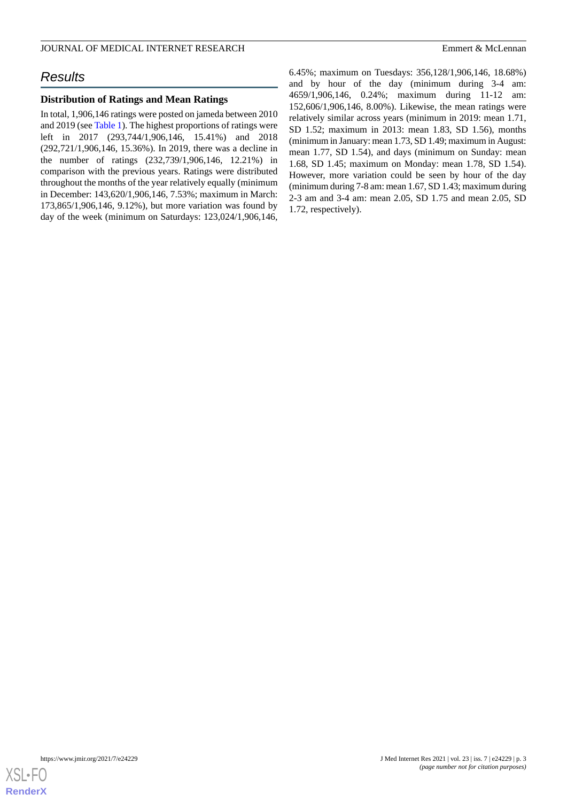#### JOURNAL OF MEDICAL INTERNET RESEARCH EMPLOYEER FOR THE SERVICE OF MELL AND LETTER OF MELL AND LETTER SERVICE OF THE SERVICE OF THE SERVICE OF THE SERVICE OF THE SERVICE OF THE SERVICE OF THE SERVICE OF THE SERVICE OF THE S

# *Results*

### **Distribution of Ratings and Mean Ratings**

In total, 1,906,146 ratings were posted on jameda between 2010 and 2019 (see [Table 1](#page-3-0)). The highest proportions of ratings were left in 2017 (293,744/1,906,146, 15.41%) and 2018 (292,721/1,906,146, 15.36%). In 2019, there was a decline in the number of ratings (232,739/1,906,146, 12.21%) in comparison with the previous years. Ratings were distributed throughout the months of the year relatively equally (minimum in December: 143,620/1,906,146, 7.53%; maximum in March: 173,865/1,906,146, 9.12%), but more variation was found by day of the week (minimum on Saturdays: 123,024/1,906,146,

6.45%; maximum on Tuesdays: 356,128/1,906,146, 18.68%) and by hour of the day (minimum during 3-4 am: 4659/1,906,146, 0.24%; maximum during 11-12 am: 152,606/1,906,146, 8.00%). Likewise, the mean ratings were relatively similar across years (minimum in 2019: mean 1.71, SD 1.52; maximum in 2013: mean 1.83, SD 1.56), months (minimum in January: mean 1.73, SD 1.49; maximum in August: mean 1.77, SD 1.54), and days (minimum on Sunday: mean 1.68, SD 1.45; maximum on Monday: mean 1.78, SD 1.54). However, more variation could be seen by hour of the day (minimum during 7-8 am: mean 1.67, SD 1.43; maximum during 2-3 am and 3-4 am: mean 2.05, SD 1.75 and mean 2.05, SD 1.72, respectively).

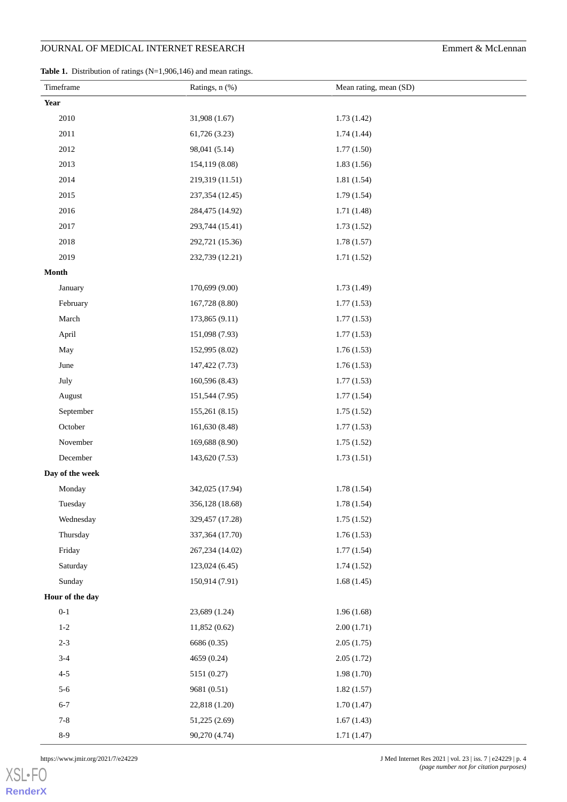<span id="page-3-0"></span>Table 1. Distribution of ratings (N=1,906,146) and mean ratings.

|      | Timeframe       | Ratings, n (%)  | Mean rating, mean (SD) |
|------|-----------------|-----------------|------------------------|
| Year |                 |                 |                        |
|      | 2010            | 31,908 (1.67)   | 1.73(1.42)             |
|      | 2011            | 61,726 (3.23)   | 1.74(1.44)             |
|      | 2012            | 98,041 (5.14)   | 1.77(1.50)             |
|      | 2013            | 154,119 (8.08)  | 1.83(1.56)             |
|      | 2014            | 219,319 (11.51) | 1.81 (1.54)            |
|      | 2015            | 237,354 (12.45) | 1.79(1.54)             |
|      | 2016            | 284,475 (14.92) | 1.71(1.48)             |
|      | 2017            | 293,744 (15.41) | 1.73(1.52)             |
|      | 2018            | 292,721 (15.36) | 1.78(1.57)             |
|      | 2019            | 232,739 (12.21) | 1.71(1.52)             |
|      | Month           |                 |                        |
|      | January         | 170,699 (9.00)  | 1.73 (1.49)            |
|      | February        | 167,728 (8.80)  | 1.77(1.53)             |
|      | March           | 173,865 (9.11)  | 1.77(1.53)             |
|      | April           | 151,098 (7.93)  | 1.77(1.53)             |
|      | May             | 152,995 (8.02)  | 1.76(1.53)             |
|      | June            | 147,422 (7.73)  | 1.76(1.53)             |
|      | July            | 160,596 (8.43)  | 1.77(1.53)             |
|      | August          | 151,544 (7.95)  | 1.77(1.54)             |
|      | September       | 155,261 (8.15)  | 1.75(1.52)             |
|      | October         | 161,630 (8.48)  | 1.77(1.53)             |
|      | November        | 169,688 (8.90)  | 1.75(1.52)             |
|      | December        | 143,620 (7.53)  | 1.73(1.51)             |
|      | Day of the week |                 |                        |
|      | Monday          | 342,025 (17.94) | 1.78(1.54)             |
|      | Tuesday         | 356,128 (18.68) | 1.78(1.54)             |
|      | Wednesday       | 329,457 (17.28) | 1.75(1.52)             |
|      | Thursday        | 337,364 (17.70) | 1.76(1.53)             |
|      | Friday          | 267,234 (14.02) | 1.77(1.54)             |
|      | Saturday        | 123,024 (6.45)  | 1.74(1.52)             |
|      | Sunday          | 150,914 (7.91)  | 1.68(1.45)             |
|      | Hour of the day |                 |                        |
|      | $0 - 1$         | 23,689 (1.24)   | 1.96(1.68)             |
|      | $1-2$           | 11,852(0.62)    | 2.00(1.71)             |
|      | $2 - 3$         | 6686 (0.35)     | 2.05(1.75)             |
|      | $3-4$           | 4659 (0.24)     | 2.05(1.72)             |
|      | $4 - 5$         | 5151 (0.27)     | 1.98(1.70)             |
|      | $5-6$           | 9681 (0.51)     | 1.82(1.57)             |
|      | $6 - 7$         | 22,818 (1.20)   | 1.70(1.47)             |
|      | $7 - 8$         | 51,225 (2.69)   | 1.67(1.43)             |
|      | $8-9$           | 90,270 (4.74)   | 1.71(1.47)             |

[XSL](http://www.w3.org/Style/XSL)•FO **[RenderX](http://www.renderx.com/)**

https://www.jmir.org/2021/7/e24229 J Med Internet Res 2021 | vol. 23 | iss. 7 | e24229 | p. 4 *(page number not for citation purposes)*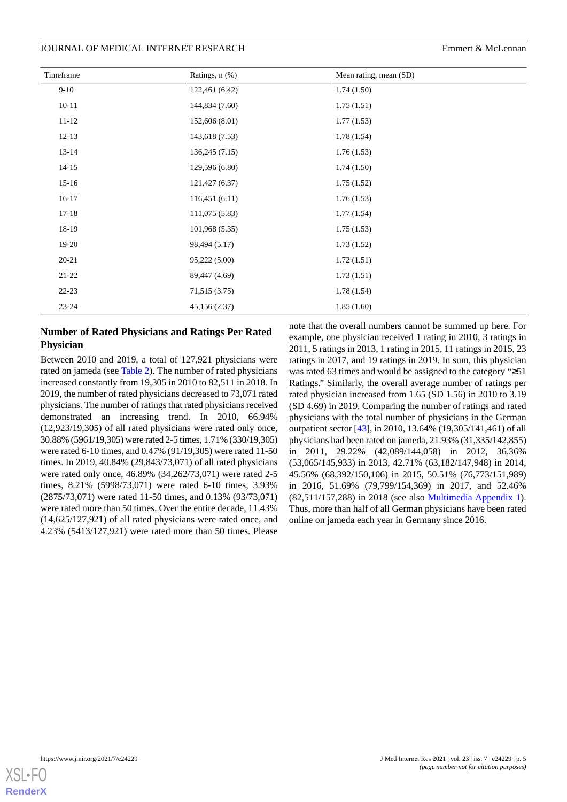#### JOURNAL OF MEDICAL INTERNET RESEARCH EMPLOYEER FOR THE SERVICE OF MELL EMPLOYEERS EMPLOYEER

| Timeframe | Ratings, n (%) | Mean rating, mean (SD) |
|-----------|----------------|------------------------|
| $9 - 10$  | 122,461 (6.42) | 1.74(1.50)             |
| $10 - 11$ | 144,834 (7.60) | 1.75(1.51)             |
| $11 - 12$ | 152,606 (8.01) | 1.77(1.53)             |
| $12-13$   | 143,618 (7.53) | 1.78(1.54)             |
| $13 - 14$ | 136,245(7.15)  | 1.76(1.53)             |
| $14 - 15$ | 129,596 (6.80) | 1.74(1.50)             |
| $15 - 16$ | 121,427 (6.37) | 1.75(1.52)             |
| $16-17$   | 116,451(6.11)  | 1.76(1.53)             |
| $17 - 18$ | 111,075(5.83)  | 1.77(1.54)             |
| 18-19     | 101,968 (5.35) | 1.75(1.53)             |
| $19-20$   | 98,494 (5.17)  | 1.73(1.52)             |
| $20 - 21$ | 95,222 (5.00)  | 1.72(1.51)             |
| $21-22$   | 89,447 (4.69)  | 1.73(1.51)             |
| $22 - 23$ | 71,515 (3.75)  | 1.78(1.54)             |
| $23 - 24$ | 45,156 (2.37)  | 1.85(1.60)             |

## **Number of Rated Physicians and Ratings Per Rated Physician**

Between 2010 and 2019, a total of 127,921 physicians were rated on jameda (see [Table 2\)](#page-5-0). The number of rated physicians increased constantly from 19,305 in 2010 to 82,511 in 2018. In 2019, the number of rated physicians decreased to 73,071 rated physicians. The number of ratings that rated physicians received demonstrated an increasing trend. In 2010, 66.94% (12,923/19,305) of all rated physicians were rated only once, 30.88% (5961/19,305) were rated 2-5 times, 1.71% (330/19,305) were rated 6-10 times, and 0.47% (91/19,305) were rated 11-50 times. In 2019, 40.84% (29,843/73,071) of all rated physicians were rated only once, 46.89% (34,262/73,071) were rated 2-5 times, 8.21% (5998/73,071) were rated 6-10 times, 3.93% (2875/73,071) were rated 11-50 times, and 0.13% (93/73,071) were rated more than 50 times. Over the entire decade, 11.43% (14,625/127,921) of all rated physicians were rated once, and 4.23% (5413/127,921) were rated more than 50 times. Please

note that the overall numbers cannot be summed up here. For example, one physician received 1 rating in 2010, 3 ratings in 2011, 5 ratings in 2013, 1 rating in 2015, 11 ratings in 2015, 23 ratings in 2017, and 19 ratings in 2019. In sum, this physician was rated 63 times and would be assigned to the category "≥51 Ratings." Similarly, the overall average number of ratings per rated physician increased from 1.65 (SD 1.56) in 2010 to 3.19 (SD 4.69) in 2019. Comparing the number of ratings and rated physicians with the total number of physicians in the German outpatient sector [\[43](#page-15-3)], in 2010, 13.64% (19,305/141,461) of all physicians had been rated on jameda, 21.93% (31,335/142,855) in 2011, 29.22% (42,089/144,058) in 2012, 36.36% (53,065/145,933) in 2013, 42.71% (63,182/147,948) in 2014, 45.56% (68,392/150,106) in 2015, 50.51% (76,773/151,989) in 2016, 51.69% (79,799/154,369) in 2017, and 52.46% (82,511/157,288) in 2018 (see also [Multimedia Appendix 1\)](#page-13-9). Thus, more than half of all German physicians have been rated online on jameda each year in Germany since 2016.

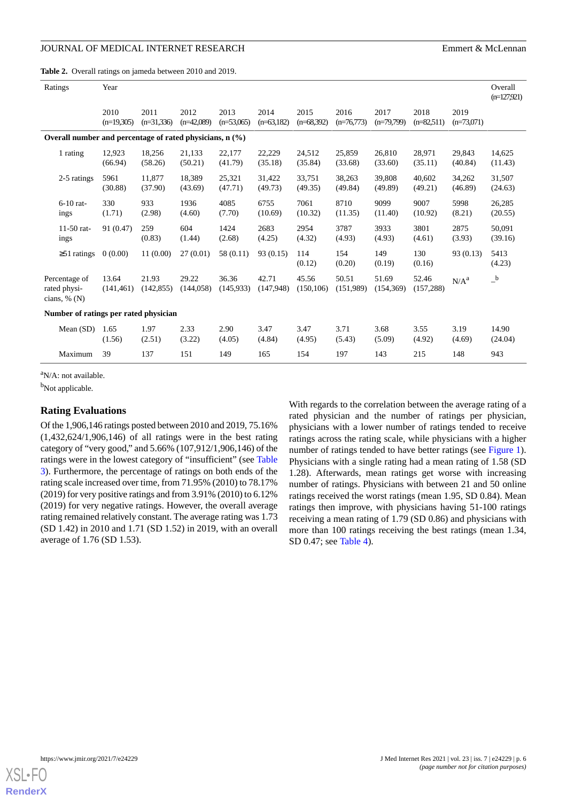### JOURNAL OF MEDICAL INTERNET RESEARCH EMPIRICAL SERVICE SERVICE SERVICE SERVICE SERVICE SERVICE SERVICE SERVICE SERVICE SERVICE SERVICE SERVICE SERVICE SERVICE SERVICE SERVICE SERVICE SERVICE SERVICE SERVICE SERVICE SERVICE

<span id="page-5-0"></span>**Table 2.** Overall ratings on jameda between 2010 and 2019.

| Ratings                                                       | Year                                  |                      |                      |                      |                      |                      |                      |                      |                      |                      |                   |  |
|---------------------------------------------------------------|---------------------------------------|----------------------|----------------------|----------------------|----------------------|----------------------|----------------------|----------------------|----------------------|----------------------|-------------------|--|
|                                                               | 2010<br>$(n=19,305)$                  | 2011<br>$(n=31,336)$ | 2012<br>$(n=42,089)$ | 2013<br>$(n=53,065)$ | 2014<br>$(n=63,182)$ | 2015<br>$(n=68,392)$ | 2016<br>$(n=76,773)$ | 2017<br>$(n=79,799)$ | 2018<br>$(n=82,511)$ | 2019<br>$(n=73,071)$ |                   |  |
| Overall number and percentage of rated physicians, $n$ $(\%)$ |                                       |                      |                      |                      |                      |                      |                      |                      |                      |                      |                   |  |
| 1 rating                                                      | 12,923<br>(66.94)                     | 18,256<br>(58.26)    | 21,133<br>(50.21)    | 22,177<br>(41.79)    | 22,229<br>(35.18)    | 24,512<br>(35.84)    | 25,859<br>(33.68)    | 26,810<br>(33.60)    | 28,971<br>(35.11)    | 29,843<br>(40.84)    | 14,625<br>(11.43) |  |
| 2-5 ratings                                                   | 5961<br>(30.88)                       | 11,877<br>(37.90)    | 18,389<br>(43.69)    | 25,321<br>(47.71)    | 31,422<br>(49.73)    | 33,751<br>(49.35)    | 38,263<br>(49.84)    | 39,808<br>(49.89)    | 40,602<br>(49.21)    | 34,262<br>(46.89)    | 31,507<br>(24.63) |  |
| $6-10$ rat-<br>ings                                           | 330<br>(1.71)                         | 933<br>(2.98)        | 1936<br>(4.60)       | 4085<br>(7.70)       | 6755<br>(10.69)      | 7061<br>(10.32)      | 8710<br>(11.35)      | 9099<br>(11.40)      | 9007<br>(10.92)      | 5998<br>(8.21)       | 26,285<br>(20.55) |  |
| 11-50 rat-<br>ings                                            | 91 (0.47)                             | 259<br>(0.83)        | 604<br>(1.44)        | 1424<br>(2.68)       | 2683<br>(4.25)       | 2954<br>(4.32)       | 3787<br>(4.93)       | 3933<br>(4.93)       | 3801<br>(4.61)       | 2875<br>(3.93)       | 50,091<br>(39.16) |  |
| $\geq$ 51 ratings                                             | 0(0.00)                               | 11(0.00)             | 27(0.01)             | 58 (0.11)            | 93 (0.15)            | 114<br>(0.12)        | 154<br>(0.20)        | 149<br>(0.19)        | 130<br>(0.16)        | 93 (0.13)            | 5413<br>(4.23)    |  |
| Percentage of<br>rated physi-<br>cians, $\%$ (N)              | 13.64<br>(141, 461)                   | 21.93<br>(142, 855)  | 29.22<br>(144, 058)  | 36.36<br>(145, 933)  | 42.71<br>(147, 948)  | 45.56<br>(150, 106)  | 50.51<br>(151,989)   | 51.69<br>(154, 369)  | 52.46<br>(157, 288)  | $N/A^a$              | $\_^{\rm b}$      |  |
|                                                               | Number of ratings per rated physician |                      |                      |                      |                      |                      |                      |                      |                      |                      |                   |  |
| Mean $(SD)$                                                   | 1.65<br>(1.56)                        | 1.97<br>(2.51)       | 2.33<br>(3.22)       | 2.90<br>(4.05)       | 3.47<br>(4.84)       | 3.47<br>(4.95)       | 3.71<br>(5.43)       | 3.68<br>(5.09)       | 3.55<br>(4.92)       | 3.19<br>(4.69)       | 14.90<br>(24.04)  |  |
| Maximum                                                       | 39                                    | 137                  | 151                  | 149                  | 165                  | 154                  | 197                  | 143                  | 215                  | 148                  | 943               |  |

 $\rm{a}N/A$ : not available.

b<sub>Not applicable.</sub>

### **Rating Evaluations**

Of the 1,906,146 ratings posted between 2010 and 2019, 75.16% (1,432,624/1,906,146) of all ratings were in the best rating category of "very good," and 5.66% (107,912/1,906,146) of the ratings were in the lowest category of "insufficient" (see [Table](#page-6-0) [3\)](#page-6-0). Furthermore, the percentage of ratings on both ends of the rating scale increased over time, from 71.95% (2010) to 78.17% (2019) for very positive ratings and from 3.91% (2010) to 6.12% (2019) for very negative ratings. However, the overall average rating remained relatively constant. The average rating was 1.73 (SD 1.42) in 2010 and 1.71 (SD 1.52) in 2019, with an overall average of 1.76 (SD 1.53).

With regards to the correlation between the average rating of a rated physician and the number of ratings per physician, physicians with a lower number of ratings tended to receive ratings across the rating scale, while physicians with a higher number of ratings tended to have better ratings (see [Figure 1\)](#page-6-1). Physicians with a single rating had a mean rating of 1.58 (SD 1.28). Afterwards, mean ratings get worse with increasing number of ratings. Physicians with between 21 and 50 online ratings received the worst ratings (mean 1.95, SD 0.84). Mean ratings then improve, with physicians having 51-100 ratings receiving a mean rating of 1.79 (SD 0.86) and physicians with more than 100 ratings receiving the best ratings (mean 1.34, SD 0.47; see [Table 4](#page-7-0)).

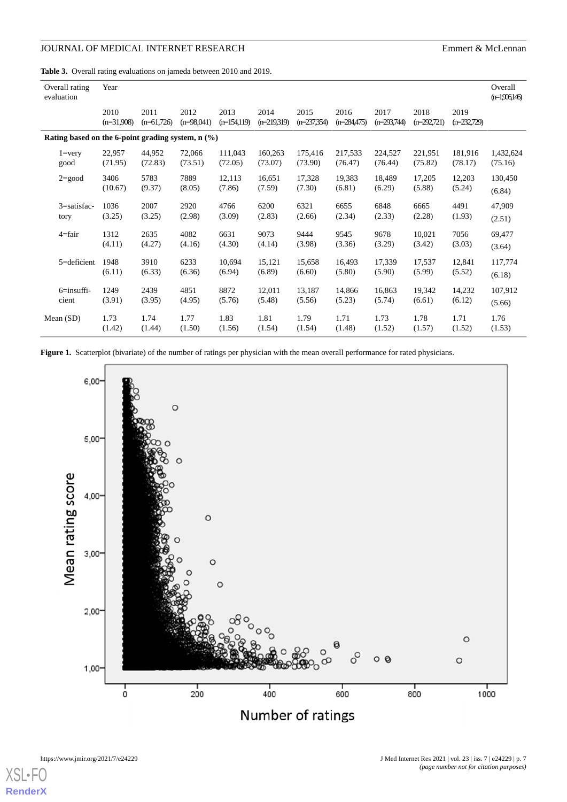<span id="page-6-0"></span>**Table 3.** Overall rating evaluations on jameda between 2010 and 2019.

| Overall rating<br>evaluation                        | Year                 |                      |                      |                       |                       |                       |                       |                       |                       |                       | Overall<br>$(n=1,906146)$ |  |
|-----------------------------------------------------|----------------------|----------------------|----------------------|-----------------------|-----------------------|-----------------------|-----------------------|-----------------------|-----------------------|-----------------------|---------------------------|--|
|                                                     | 2010<br>$(n=31,908)$ | 2011<br>$(n=61,726)$ | 2012<br>$(n=98,041)$ | 2013<br>$(n=154,119)$ | 2014<br>$(n=219,319)$ | 2015<br>$(n=237,354)$ | 2016<br>$(n=284,475)$ | 2017<br>$(n=293,744)$ | 2018<br>$(n=292,721)$ | 2019<br>$(n=232,729)$ |                           |  |
| Rating based on the 6-point grading system, $n$ (%) |                      |                      |                      |                       |                       |                       |                       |                       |                       |                       |                           |  |
| $1 = \nvert \nvert$                                 | 22,957               | 44,952               | 72,066               | 111.043               | 160,263               | 175.416               | 217,533               | 224,527               | 221,951               | 181.916               | 1,432,624                 |  |
| good                                                | (71.95)              | (72.83)              | (73.51)              | (72.05)               | (73.07)               | (73.90)               | (76.47)               | (76.44)               | (75.82)               | (78.17)               | (75.16)                   |  |
| $2 = good$                                          | 3406                 | 5783                 | 7889                 | 12,113                | 16,651                | 17,328                | 19,383                | 18,489                | 17,205                | 12,203                | 130,450                   |  |
|                                                     | (10.67)              | (9.37)               | (8.05)               | (7.86)                | (7.59)                | (7.30)                | (6.81)                | (6.29)                | (5.88)                | (5.24)                | (6.84)                    |  |
| $3 = satisfac-$                                     | 1036                 | 2007                 | 2920                 | 4766                  | 6200                  | 6321                  | 6655                  | 6848                  | 6665                  | 4491                  | 47,909                    |  |
| tory                                                | (3.25)               | (3.25)               | (2.98)               | (3.09)                | (2.83)                | (2.66)                | (2.34)                | (2.33)                | (2.28)                | (1.93)                | (2.51)                    |  |
| $4 = fair$                                          | 1312                 | 2635                 | 4082                 | 6631                  | 9073                  | 9444                  | 9545                  | 9678                  | 10,021                | 7056                  | 69,477                    |  |
|                                                     | (4.11)               | (4.27)               | (4.16)               | (4.30)                | (4.14)                | (3.98)                | (3.36)                | (3.29)                | (3.42)                | (3.03)                | (3.64)                    |  |
| $5 =$ deficient                                     | 1948                 | 3910                 | 6233                 | 10,694                | 15,121                | 15,658                | 16,493                | 17,339                | 17,537                | 12,841                | 117,774                   |  |
|                                                     | (6.11)               | (6.33)               | (6.36)               | (6.94)                | (6.89)                | (6.60)                | (5.80)                | (5.90)                | (5.99)                | (5.52)                | (6.18)                    |  |
| $6 =$ insuffi-                                      | 1249                 | 2439                 | 4851                 | 8872                  | 12,011                | 13,187                | 14,866                | 16,863                | 19,342                | 14,232                | 107,912                   |  |
| cient                                               | (3.91)               | (3.95)               | (4.95)               | (5.76)                | (5.48)                | (5.56)                | (5.23)                | (5.74)                | (6.61)                | (6.12)                | (5.66)                    |  |
| Mean $(SD)$                                         | 1.73                 | 1.74                 | 1.77                 | 1.83                  | 1.81                  | 1.79                  | 1.71                  | 1.73                  | 1.78                  | 1.71                  | 1.76                      |  |
|                                                     | (1.42)               | (1.44)               | (1.50)               | (1.56)                | (1.54)                | (1.54)                | (1.48)                | (1.52)                | (1.57)                | (1.52)                | (1.53)                    |  |

<span id="page-6-1"></span>Figure 1. Scatterplot (bivariate) of the number of ratings per physician with the mean overall performance for rated physicians.



[XSL](http://www.w3.org/Style/XSL)•F **[RenderX](http://www.renderx.com/)**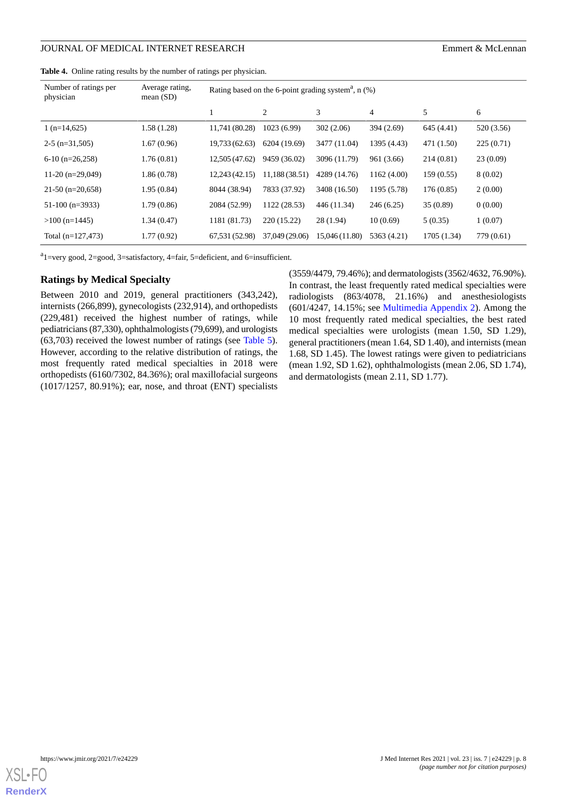### JOURNAL OF MEDICAL INTERNET RESEARCH EMPIRICAL SERVICE SERVICE SERVICE SERVICE SERVICE SERVICE SERVICE SERVICE SERVICE SERVICE SERVICE SERVICE SERVICE SERVICE SERVICE SERVICE SERVICE SERVICE SERVICE SERVICE SERVICE SERVICE

<span id="page-7-0"></span>**Table 4.** Online rating results by the number of ratings per physician.

| Number of ratings per<br>physician | Average rating,<br>mean $(SD)$ | Rating based on the 6-point grading system <sup>a</sup> , $n$ (%) |                |                |             |             |            |  |
|------------------------------------|--------------------------------|-------------------------------------------------------------------|----------------|----------------|-------------|-------------|------------|--|
|                                    |                                |                                                                   | 2              | 3              | 4           | 5           | 6          |  |
| $1(n=14,625)$                      | 1.58(1.28)                     | 11,741 (80.28)                                                    | 1023(6.99)     | 302 (2.06)     | 394 (2.69)  | 645 (4.41)  | 520 (3.56) |  |
| $2-5$ (n=31,505)                   | 1.67(0.96)                     | 19,733 (62.63)                                                    | 6204 (19.69)   | 3477 (11.04)   | 1395 (4.43) | 471 (1.50)  | 225(0.71)  |  |
| $6-10$ (n=26,258)                  | 1.76(0.81)                     | 12,505 (47.62)                                                    | 9459 (36.02)   | 3096 (11.79)   | 961 (3.66)  | 214(0.81)   | 23(0.09)   |  |
| 11-20 $(n=29,049)$                 | 1.86(0.78)                     | 12,243 (42.15)                                                    | 11,188(38.51)  | 4289 (14.76)   | 1162 (4.00) | 159(0.55)   | 8(0.02)    |  |
| $21-50$ (n=20,658)                 | 1.95(0.84)                     | 8044 (38.94)                                                      | 7833 (37.92)   | 3408 (16.50)   | 1195 (5.78) | 176(0.85)   | 2(0.00)    |  |
| $51-100$ (n=3933)                  | 1.79(0.86)                     | 2084 (52.99)                                                      | 1122 (28.53)   | 446 (11.34)    | 246 (6.25)  | 35(0.89)    | 0(0.00)    |  |
| $>100$ (n=1445)                    | 1.34(0.47)                     | 1181 (81.73)                                                      | 220 (15.22)    | 28(1.94)       | 10(0.69)    | 5(0.35)     | 1(0.07)    |  |
| Total $(n=127,473)$                | 1.77(0.92)                     | 67,531 (52.98)                                                    | 37,049 (29.06) | 15,046 (11.80) | 5363 (4.21) | 1705 (1.34) | 779 (0.61) |  |

<sup>a</sup>1=very good, 2=good, 3=satisfactory, 4=fair, 5=deficient, and 6=insufficient.

#### **Ratings by Medical Specialty**

Between 2010 and 2019, general practitioners (343,242), internists (266,899), gynecologists (232,914), and orthopedists (229,481) received the highest number of ratings, while pediatricians (87,330), ophthalmologists (79,699), and urologists (63,703) received the lowest number of ratings (see [Table 5\)](#page-8-0). However, according to the relative distribution of ratings, the most frequently rated medical specialties in 2018 were orthopedists (6160/7302, 84.36%); oral maxillofacial surgeons (1017/1257, 80.91%); ear, nose, and throat (ENT) specialists

(3559/4479, 79.46%); and dermatologists (3562/4632, 76.90%). In contrast, the least frequently rated medical specialties were radiologists (863/4078, 21.16%) and anesthesiologists (601/4247, 14.15%; see [Multimedia Appendix 2\)](#page-13-10). Among the 10 most frequently rated medical specialties, the best rated medical specialties were urologists (mean 1.50, SD 1.29), general practitioners (mean 1.64, SD 1.40), and internists (mean 1.68, SD 1.45). The lowest ratings were given to pediatricians (mean 1.92, SD 1.62), ophthalmologists (mean 2.06, SD 1.74), and dermatologists (mean 2.11, SD 1.77).

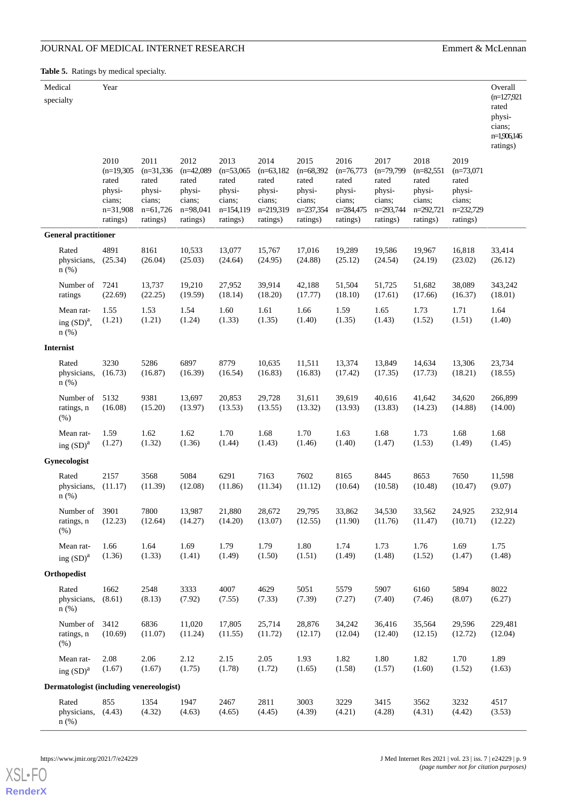cians; n=1,906,146

<span id="page-8-0"></span>**Table 5.** Ratings by medical specialty.

|           | ___<br>_____<br>___<br>____ |               |
|-----------|-----------------------------|---------------|
| Medical   | Year                        | Overall       |
| specialty |                             | $(n=127,921)$ |
|           |                             | rated         |
|           |                             | physi-        |

|                                         |                                                                             |                                                                             |                                                                             |                                                                            |                                                                             |                                                                            |                                                                            |                                                                            |                                                                            |                                                                            | ratings)           |
|-----------------------------------------|-----------------------------------------------------------------------------|-----------------------------------------------------------------------------|-----------------------------------------------------------------------------|----------------------------------------------------------------------------|-----------------------------------------------------------------------------|----------------------------------------------------------------------------|----------------------------------------------------------------------------|----------------------------------------------------------------------------|----------------------------------------------------------------------------|----------------------------------------------------------------------------|--------------------|
|                                         | 2010<br>$(n=19,305)$<br>rated<br>physi-<br>cians;<br>$n=31,908$<br>ratings) | 2011<br>$(n=31,336)$<br>rated<br>physi-<br>cians;<br>$n=61,726$<br>ratings) | 2012<br>$(n=42,089)$<br>rated<br>physi-<br>cians;<br>$n=98,041$<br>ratings) | 2013<br>$(n=53,065)$<br>rated<br>physi-<br>cians;<br>n=154,119<br>ratings) | 2014<br>$(n=63, 182)$<br>rated<br>physi-<br>cians;<br>n=219,319<br>ratings) | 2015<br>$(n=68,392)$<br>rated<br>physi-<br>cians;<br>n=237,354<br>ratings) | 2016<br>$(n=76,773)$<br>rated<br>physi-<br>cians;<br>n=284,475<br>ratings) | 2017<br>$(n=79,799)$<br>rated<br>physi-<br>cians;<br>n=293,744<br>ratings) | 2018<br>$(n=82,551)$<br>rated<br>physi-<br>cians;<br>n=292,721<br>ratings) | 2019<br>$(n=73,071)$<br>rated<br>physi-<br>cians;<br>n=232,729<br>ratings) |                    |
| <b>General practitioner</b>             |                                                                             |                                                                             |                                                                             |                                                                            |                                                                             |                                                                            |                                                                            |                                                                            |                                                                            |                                                                            |                    |
| Rated<br>physicians,<br>$n$ (%)         | 4891<br>(25.34)                                                             | 8161<br>(26.04)                                                             | 10,533<br>(25.03)                                                           | 13,077<br>(24.64)                                                          | 15,767<br>(24.95)                                                           | 17,016<br>(24.88)                                                          | 19,289<br>(25.12)                                                          | 19,586<br>(24.54)                                                          | 19,967<br>(24.19)                                                          | 16,818<br>(23.02)                                                          | 33,414<br>(26.12)  |
| Number of<br>ratings                    | 7241<br>(22.69)                                                             | 13,737<br>(22.25)                                                           | 19,210<br>(19.59)                                                           | 27,952<br>(18.14)                                                          | 39,914<br>(18.20)                                                           | 42,188<br>(17.77)                                                          | 51,504<br>(18.10)                                                          | 51,725<br>(17.61)                                                          | 51,682<br>(17.66)                                                          | 38,089<br>(16.37)                                                          | 343,242<br>(18.01) |
| Mean rat-<br>ing $(SD)^a$ ,<br>$n$ (%)  | 1.55<br>(1.21)                                                              | 1.53<br>(1.21)                                                              | 1.54<br>(1.24)                                                              | 1.60<br>(1.33)                                                             | 1.61<br>(1.35)                                                              | 1.66<br>(1.40)                                                             | 1.59<br>(1.35)                                                             | 1.65<br>(1.43)                                                             | 1.73<br>(1.52)                                                             | 1.71<br>(1.51)                                                             | 1.64<br>(1.40)     |
| $\label{prop:inert} \textbf{Internist}$ |                                                                             |                                                                             |                                                                             |                                                                            |                                                                             |                                                                            |                                                                            |                                                                            |                                                                            |                                                                            |                    |
| Rated<br>physicians,<br>$n$ (%)         | 3230<br>(16.73)                                                             | 5286<br>(16.87)                                                             | 6897<br>(16.39)                                                             | 8779<br>(16.54)                                                            | 10,635<br>(16.83)                                                           | 11,511<br>(16.83)                                                          | 13,374<br>(17.42)                                                          | 13,849<br>(17.35)                                                          | 14,634<br>(17.73)                                                          | 13,306<br>(18.21)                                                          | 23,734<br>(18.55)  |
| Number of<br>ratings, n<br>(% )         | 5132<br>(16.08)                                                             | 9381<br>(15.20)                                                             | 13,697<br>(13.97)                                                           | 20,853<br>(13.53)                                                          | 29,728<br>(13.55)                                                           | 31,611<br>(13.32)                                                          | 39.619<br>(13.93)                                                          | 40.616<br>(13.83)                                                          | 41,642<br>(14.23)                                                          | 34,620<br>(14.88)                                                          | 266,899<br>(14.00) |
| Mean rat-<br>ing $(SD)^a$               | 1.59<br>(1.27)                                                              | 1.62<br>(1.32)                                                              | 1.62<br>(1.36)                                                              | 1.70<br>(1.44)                                                             | 1.68<br>(1.43)                                                              | 1.70<br>(1.46)                                                             | 1.63<br>(1.40)                                                             | 1.68<br>(1.47)                                                             | 1.73<br>(1.53)                                                             | 1.68<br>(1.49)                                                             | 1.68<br>(1.45)     |
| Gynecologist                            |                                                                             |                                                                             |                                                                             |                                                                            |                                                                             |                                                                            |                                                                            |                                                                            |                                                                            |                                                                            |                    |
| Rated<br>physicians,<br>$n$ (%)         | 2157<br>(11.17)                                                             | 3568<br>(11.39)                                                             | 5084<br>(12.08)                                                             | 6291<br>(11.86)                                                            | 7163<br>(11.34)                                                             | 7602<br>(11.12)                                                            | 8165<br>(10.64)                                                            | 8445<br>(10.58)                                                            | 8653<br>(10.48)                                                            | 7650<br>(10.47)                                                            | 11,598<br>(9.07)   |
| Number of<br>ratings, n<br>(% )         | 3901<br>(12.23)                                                             | 7800<br>(12.64)                                                             | 13,987<br>(14.27)                                                           | 21,880<br>(14.20)                                                          | 28,672<br>(13.07)                                                           | 29,795<br>(12.55)                                                          | 33,862<br>(11.90)                                                          | 34,530<br>(11.76)                                                          | 33,562<br>(11.47)                                                          | 24,925<br>(10.71)                                                          | 232.914<br>(12.22) |
| Mean rat-<br>ing $(SD)^a$               | 1.66<br>(1.36)                                                              | 1.64<br>(1.33)                                                              | 1.69<br>(1.41)                                                              | 1.79<br>(1.49)                                                             | 1.79<br>(1.50)                                                              | 1.80<br>(1.51)                                                             | 1.74<br>(1.49)                                                             | 1.73<br>(1.48)                                                             | 1.76<br>(1.52)                                                             | 1.69<br>(1.47)                                                             | 1.75<br>(1.48)     |
| Orthopedist                             |                                                                             |                                                                             |                                                                             |                                                                            |                                                                             |                                                                            |                                                                            |                                                                            |                                                                            |                                                                            |                    |
| Rated<br>physicians,<br>$n$ (%)         | 1662<br>(8.61)                                                              | 2548<br>(8.13)                                                              | 3333<br>(7.92)                                                              | 4007<br>(7.55)                                                             | 4629<br>(7.33)                                                              | 5051<br>(7.39)                                                             | 5579<br>(7.27)                                                             | 5907<br>(7.40)                                                             | 6160<br>(7.46)                                                             | 5894<br>(8.07)                                                             | 8022<br>(6.27)     |
| Number of<br>ratings, n<br>(% )         | 3412<br>(10.69)                                                             | 6836<br>(11.07)                                                             | 11,020<br>(11.24)                                                           | 17,805<br>(11.55)                                                          | 25,714<br>(11.72)                                                           | 28,876<br>(12.17)                                                          | 34,242<br>(12.04)                                                          | 36,416<br>(12.40)                                                          | 35,564<br>(12.15)                                                          | 29,596<br>(12.72)                                                          | 229,481<br>(12.04) |
| Mean rat-<br>ing $(SD)^a$               | 2.08<br>(1.67)                                                              | 2.06<br>(1.67)                                                              | 2.12<br>(1.75)                                                              | 2.15<br>(1.78)                                                             | 2.05<br>(1.72)                                                              | 1.93<br>(1.65)                                                             | 1.82<br>(1.58)                                                             | 1.80<br>(1.57)                                                             | 1.82<br>(1.60)                                                             | 1.70<br>(1.52)                                                             | 1.89<br>(1.63)     |
| Dermatologist (including venereologist) |                                                                             |                                                                             |                                                                             |                                                                            |                                                                             |                                                                            |                                                                            |                                                                            |                                                                            |                                                                            |                    |
| Rated<br>physicians,<br>$n$ (%)         | 855<br>(4.43)                                                               | 1354<br>(4.32)                                                              | 1947<br>(4.63)                                                              | 2467<br>(4.65)                                                             | 2811<br>(4.45)                                                              | 3003<br>(4.39)                                                             | 3229<br>(4.21)                                                             | 3415<br>(4.28)                                                             | 3562<br>(4.31)                                                             | 3232<br>(4.42)                                                             | 4517<br>(3.53)     |



**[RenderX](http://www.renderx.com/)**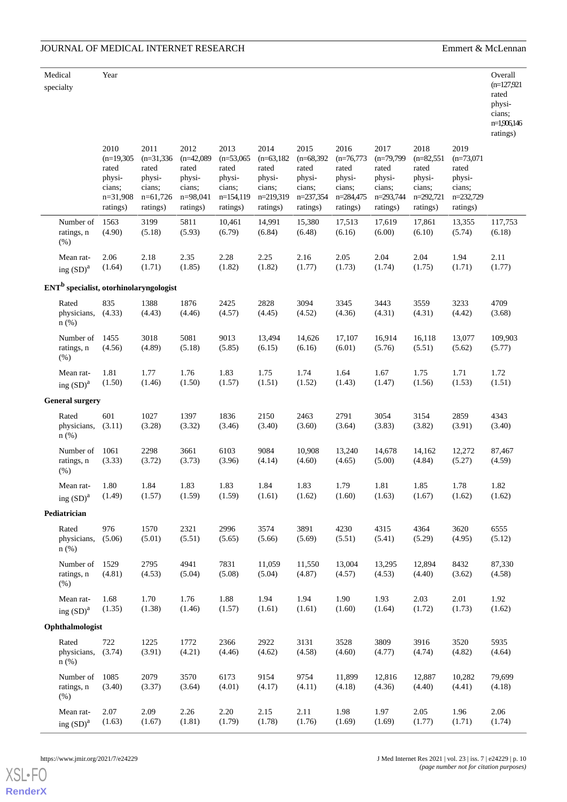| Medical<br>specialty |                                  | Year                                                                        |                                                                             |                                                                             |                                                                              |                                                                             |                                                                            |                                                                            |                                                                            |                                                                            |                                                                            | Overall<br>$(n=127,921)$<br>rated<br>physi-<br>cians;<br>n=1,906,146<br>ratings) |
|----------------------|----------------------------------|-----------------------------------------------------------------------------|-----------------------------------------------------------------------------|-----------------------------------------------------------------------------|------------------------------------------------------------------------------|-----------------------------------------------------------------------------|----------------------------------------------------------------------------|----------------------------------------------------------------------------|----------------------------------------------------------------------------|----------------------------------------------------------------------------|----------------------------------------------------------------------------|----------------------------------------------------------------------------------|
|                      |                                  | 2010<br>$(n=19,305)$<br>rated<br>physi-<br>cians;<br>$n=31,908$<br>ratings) | 2011<br>$(n=31,336)$<br>rated<br>physi-<br>cians;<br>$n=61,726$<br>ratings) | 2012<br>$(n=42,089)$<br>rated<br>physi-<br>cians;<br>$n=98,041$<br>ratings) | 2013<br>$(n=53,065)$<br>rated<br>physi-<br>cians;<br>$n=154,119$<br>ratings) | 2014<br>$(n=63, 182)$<br>rated<br>physi-<br>cians;<br>n=219,319<br>ratings) | 2015<br>$(n=68,392)$<br>rated<br>physi-<br>cians;<br>n=237,354<br>ratings) | 2016<br>$(n=76,773)$<br>rated<br>physi-<br>cians;<br>n=284,475<br>ratings) | 2017<br>$(n=79,799)$<br>rated<br>physi-<br>cians;<br>n=293,744<br>ratings) | 2018<br>$(n=82,551)$<br>rated<br>physi-<br>cians;<br>n=292,721<br>ratings) | 2019<br>$(n=73,071)$<br>rated<br>physi-<br>cians;<br>n=232,729<br>ratings) |                                                                                  |
| (% )                 | Number of                        | 1563                                                                        | 3199                                                                        | 5811                                                                        | 10,461                                                                       | 14,991                                                                      | 15,380                                                                     | 17,513                                                                     | 17,619                                                                     | 17,861                                                                     | 13,355                                                                     | 117,753                                                                          |
|                      | ratings, n                       | (4.90)                                                                      | (5.18)                                                                      | (5.93)                                                                      | (6.79)                                                                       | (6.84)                                                                      | (6.48)                                                                     | (6.16)                                                                     | (6.00)                                                                     | (6.10)                                                                     | (5.74)                                                                     | (6.18)                                                                           |
|                      | Mean rat-                        | 2.06                                                                        | 2.18                                                                        | 2.35                                                                        | 2.28                                                                         | 2.25                                                                        | 2.16                                                                       | 2.05                                                                       | 2.04                                                                       | 2.04                                                                       | 1.94                                                                       | 2.11                                                                             |
|                      | ing $(SD)^a$                     | (1.64)                                                                      | (1.71)                                                                      | (1.85)                                                                      | (1.82)                                                                       | (1.82)                                                                      | (1.77)                                                                     | (1.73)                                                                     | (1.74)                                                                     | (1.75)                                                                     | (1.71)                                                                     | (1.77)                                                                           |
|                      |                                  |                                                                             | ENT <sup>b</sup> specialist, otorhinolaryngologist                          |                                                                             |                                                                              |                                                                             |                                                                            |                                                                            |                                                                            |                                                                            |                                                                            |                                                                                  |
|                      | Rated<br>physicians,<br>n(%)     | 835<br>(4.33)                                                               | 1388<br>(4.43)                                                              | 1876<br>(4.46)                                                              | 2425<br>(4.57)                                                               | 2828<br>(4.45)                                                              | 3094<br>(4.52)                                                             | 3345<br>(4.36)                                                             | 3443<br>(4.31)                                                             | 3559<br>(4.31)                                                             | 3233<br>(4.42)                                                             | 4709<br>(3.68)                                                                   |
| (% )                 | Number of                        | 1455                                                                        | 3018                                                                        | 5081                                                                        | 9013                                                                         | 13,494                                                                      | 14,626                                                                     | 17,107                                                                     | 16,914                                                                     | 16,118                                                                     | 13,077                                                                     | 109,903                                                                          |
|                      | ratings, n                       | (4.56)                                                                      | (4.89)                                                                      | (5.18)                                                                      | (5.85)                                                                       | (6.15)                                                                      | (6.16)                                                                     | (6.01)                                                                     | (5.76)                                                                     | (5.51)                                                                     | (5.62)                                                                     | (5.77)                                                                           |
|                      | Mean rat-                        | 1.81                                                                        | 1.77                                                                        | 1.76                                                                        | 1.83                                                                         | 1.75                                                                        | 1.74                                                                       | 1.64                                                                       | 1.67                                                                       | 1.75                                                                       | 1.71                                                                       | 1.72                                                                             |
|                      | ing $(SD)^a$                     | (1.50)                                                                      | (1.46)                                                                      | (1.50)                                                                      | (1.57)                                                                       | (1.51)                                                                      | (1.52)                                                                     | (1.43)                                                                     | (1.47)                                                                     | (1.56)                                                                     | (1.53)                                                                     | (1.51)                                                                           |
|                      | <b>General surgery</b>           |                                                                             |                                                                             |                                                                             |                                                                              |                                                                             |                                                                            |                                                                            |                                                                            |                                                                            |                                                                            |                                                                                  |
|                      | Rated<br>physicians,<br>$n$ (%)  | 601<br>(3.11)                                                               | 1027<br>(3.28)                                                              | 1397<br>(3.32)                                                              | 1836<br>(3.46)                                                               | 2150<br>(3.40)                                                              | 2463<br>(3.60)                                                             | 2791<br>(3.64)                                                             | 3054<br>(3.83)                                                             | 3154<br>(3.82)                                                             | 2859<br>(3.91)                                                             | 4343<br>(3.40)                                                                   |
| (% )                 | Number of                        | 1061                                                                        | 2298                                                                        | 3661                                                                        | 6103                                                                         | 9084                                                                        | 10,908                                                                     | 13,240                                                                     | 14,678                                                                     | 14,162                                                                     | 12,272                                                                     | 87,467                                                                           |
|                      | ratings, n                       | (3.33)                                                                      | (3.72)                                                                      | (3.73)                                                                      | (3.96)                                                                       | (4.14)                                                                      | (4.60)                                                                     | (4.65)                                                                     | (5.00)                                                                     | (4.84)                                                                     | (5.27)                                                                     | (4.59)                                                                           |
|                      | Mean rat-                        | 1.80                                                                        | 1.84                                                                        | 1.83                                                                        | 1.83                                                                         | 1.84                                                                        | 1.83                                                                       | 1.79                                                                       | 1.81                                                                       | 1.85                                                                       | 1.78                                                                       | 1.82                                                                             |
|                      | ing $\mathrm{(SD)}^{\mathrm{a}}$ | (1.49)                                                                      | (1.57)                                                                      | (1.59)                                                                      | (1.59)                                                                       | (1.61)                                                                      | (1.62)                                                                     | (1.60)                                                                     | (1.63)                                                                     | (1.67)                                                                     | (1.62)                                                                     | (1.62)                                                                           |
| Pediatrician         |                                  |                                                                             |                                                                             |                                                                             |                                                                              |                                                                             |                                                                            |                                                                            |                                                                            |                                                                            |                                                                            |                                                                                  |
|                      | Rated<br>physicians,<br>$n$ (%)  | 976<br>(5.06)                                                               | 1570<br>(5.01)                                                              | 2321<br>(5.51)                                                              | 2996<br>(5.65)                                                               | 3574<br>(5.66)                                                              | 3891<br>(5.69)                                                             | 4230<br>(5.51)                                                             | 4315<br>(5.41)                                                             | 4364<br>(5.29)                                                             | 3620<br>(4.95)                                                             | 6555<br>(5.12)                                                                   |
| (% )                 | Number of                        | 1529                                                                        | 2795                                                                        | 4941                                                                        | 7831                                                                         | 11,059                                                                      | 11,550                                                                     | 13,004                                                                     | 13,295                                                                     | 12,894                                                                     | 8432                                                                       | 87,330                                                                           |
|                      | ratings, n                       | (4.81)                                                                      | (4.53)                                                                      | (5.04)                                                                      | (5.08)                                                                       | (5.04)                                                                      | (4.87)                                                                     | (4.57)                                                                     | (4.53)                                                                     | (4.40)                                                                     | (3.62)                                                                     | (4.58)                                                                           |
|                      | Mean rat-                        | 1.68                                                                        | 1.70                                                                        | 1.76                                                                        | 1.88                                                                         | 1.94                                                                        | 1.94                                                                       | 1.90                                                                       | 1.93                                                                       | 2.03                                                                       | 2.01                                                                       | 1.92                                                                             |
|                      | ing $(SD)^a$                     | (1.35)                                                                      | (1.38)                                                                      | (1.46)                                                                      | (1.57)                                                                       | (1.61)                                                                      | (1.61)                                                                     | (1.60)                                                                     | (1.64)                                                                     | (1.72)                                                                     | (1.73)                                                                     | (1.62)                                                                           |
| Ophthalmologist      |                                  |                                                                             |                                                                             |                                                                             |                                                                              |                                                                             |                                                                            |                                                                            |                                                                            |                                                                            |                                                                            |                                                                                  |
|                      | Rated<br>physicians,<br>$n$ (%)  | 722<br>(3.74)                                                               | 1225<br>(3.91)                                                              | 1772<br>(4.21)                                                              | 2366<br>(4.46)                                                               | 2922<br>(4.62)                                                              | 3131<br>(4.58)                                                             | 3528<br>(4.60)                                                             | 3809<br>(4.77)                                                             | 3916<br>(4.74)                                                             | 3520<br>(4.82)                                                             | 5935<br>(4.64)                                                                   |
| (% )                 | Number of                        | 1085                                                                        | 2079                                                                        | 3570                                                                        | 6173                                                                         | 9154                                                                        | 9754                                                                       | 11,899                                                                     | 12,816                                                                     | 12,887                                                                     | 10,282                                                                     | 79,699                                                                           |
|                      | ratings, n                       | (3.40)                                                                      | (3.37)                                                                      | (3.64)                                                                      | (4.01)                                                                       | (4.17)                                                                      | (4.11)                                                                     | (4.18)                                                                     | (4.36)                                                                     | (4.40)                                                                     | (4.41)                                                                     | (4.18)                                                                           |
|                      | Mean rat-                        | 2.07                                                                        | 2.09                                                                        | 2.26                                                                        | 2.20                                                                         | 2.15                                                                        | 2.11                                                                       | 1.98                                                                       | 1.97                                                                       | 2.05                                                                       | 1.96                                                                       | 2.06                                                                             |
|                      | ing $(SD)^a$                     | (1.63)                                                                      | (1.67)                                                                      | (1.81)                                                                      | (1.79)                                                                       | (1.78)                                                                      | (1.76)                                                                     | (1.69)                                                                     | (1.69)                                                                     | (1.77)                                                                     | (1.71)                                                                     | (1.74)                                                                           |

[XSL](http://www.w3.org/Style/XSL)•FO **[RenderX](http://www.renderx.com/)**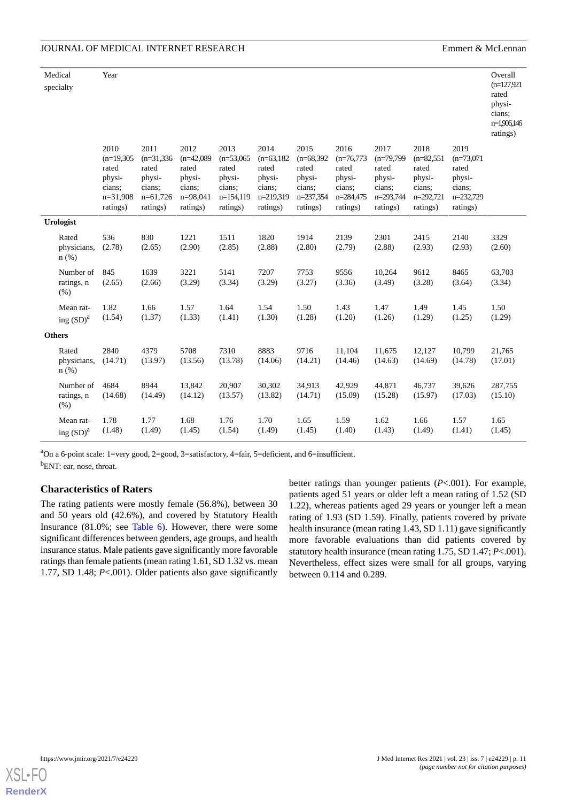## JOURNAL OF MEDICAL INTERNET RESEARCH EMPIRICAL SERVICE SERVICE SERVICE SERVICE SERVICE SERVICE SERVICE SERVICE SERVICE SERVICE SERVICE SERVICE SERVICE SERVICE SERVICE SERVICE SERVICE SERVICE SERVICE SERVICE SERVICE SERVICE

|                  | Medical                         | Year                                                                        |                                                                             |                                                                             |                                                                            |                                                                            |                                                                            |                                                                            |                                                                            |                                                                            |                                                                            | Overall                                                               |
|------------------|---------------------------------|-----------------------------------------------------------------------------|-----------------------------------------------------------------------------|-----------------------------------------------------------------------------|----------------------------------------------------------------------------|----------------------------------------------------------------------------|----------------------------------------------------------------------------|----------------------------------------------------------------------------|----------------------------------------------------------------------------|----------------------------------------------------------------------------|----------------------------------------------------------------------------|-----------------------------------------------------------------------|
|                  | specialty                       |                                                                             |                                                                             |                                                                             |                                                                            |                                                                            |                                                                            |                                                                            |                                                                            |                                                                            |                                                                            | $(n=127,921)$<br>rated<br>physi-<br>cians;<br>n=1,906,146<br>ratings) |
|                  |                                 | 2010<br>$(n=19,305)$<br>rated<br>physi-<br>cians;<br>$n=31,908$<br>ratings) | 2011<br>$(n=31,336)$<br>rated<br>physi-<br>cians;<br>$n=61,726$<br>ratings) | 2012<br>$(n=42,089)$<br>rated<br>physi-<br>cians;<br>$n=98,041$<br>ratings) | 2013<br>$(n=53,065)$<br>rated<br>physi-<br>cians;<br>n=154,119<br>ratings) | 2014<br>$(n=63,182)$<br>rated<br>physi-<br>cians;<br>n=219,319<br>ratings) | 2015<br>$(n=68,392)$<br>rated<br>physi-<br>cians;<br>n=237,354<br>ratings) | 2016<br>$(n=76,773)$<br>rated<br>physi-<br>cians;<br>n=284,475<br>ratings) | 2017<br>$(n=79,799)$<br>rated<br>physi-<br>cians;<br>n=293,744<br>ratings) | 2018<br>$(n=82,551)$<br>rated<br>physi-<br>cians;<br>n=292,721<br>ratings) | 2019<br>$(n=73,071)$<br>rated<br>physi-<br>cians;<br>n=232,729<br>ratings) |                                                                       |
| <b>Urologist</b> |                                 |                                                                             |                                                                             |                                                                             |                                                                            |                                                                            |                                                                            |                                                                            |                                                                            |                                                                            |                                                                            |                                                                       |
|                  | Rated<br>physicians,<br>n(%)    | 536<br>(2.78)                                                               | 830<br>(2.65)                                                               | 1221<br>(2.90)                                                              | 1511<br>(2.85)                                                             | 1820<br>(2.88)                                                             | 1914<br>(2.80)                                                             | 2139<br>(2.79)                                                             | 2301<br>(2.88)                                                             | 2415<br>(2.93)                                                             | 2140<br>(2.93)                                                             | 3329<br>(2.60)                                                        |
|                  | Number of<br>ratings, n<br>(% ) | 845<br>(2.65)                                                               | 1639<br>(2.66)                                                              | 3221<br>(3.29)                                                              | 5141<br>(3.34)                                                             | 7207<br>(3.29)                                                             | 7753<br>(3.27)                                                             | 9556<br>(3.36)                                                             | 10,264<br>(3.49)                                                           | 9612<br>(3.28)                                                             | 8465<br>(3.64)                                                             | 63,703<br>(3.34)                                                      |
|                  | Mean rat-<br>ing $(SD)^a$       | 1.82<br>(1.54)                                                              | 1.66<br>(1.37)                                                              | 1.57<br>(1.33)                                                              | 1.64<br>(1.41)                                                             | 1.54<br>(1.30)                                                             | 1.50<br>(1.28)                                                             | 1.43<br>(1.20)                                                             | 1.47<br>(1.26)                                                             | 1.49<br>(1.29)                                                             | 1.45<br>(1.25)                                                             | 1.50<br>(1.29)                                                        |
|                  | <b>Others</b>                   |                                                                             |                                                                             |                                                                             |                                                                            |                                                                            |                                                                            |                                                                            |                                                                            |                                                                            |                                                                            |                                                                       |
|                  | Rated<br>physicians,<br>$n$ (%) | 2840<br>(14.71)                                                             | 4379<br>(13.97)                                                             | 5708<br>(13.56)                                                             | 7310<br>(13.78)                                                            | 8883<br>(14.06)                                                            | 9716<br>(14.21)                                                            | 11,104<br>(14.46)                                                          | 11,675<br>(14.63)                                                          | 12,127<br>(14.69)                                                          | 10,799<br>(14.78)                                                          | 21,765<br>(17.01)                                                     |
|                  | Number of<br>ratings, n<br>(% ) | 4684<br>(14.68)                                                             | 8944<br>(14.49)                                                             | 13,842<br>(14.12)                                                           | 20,907<br>(13.57)                                                          | 30,302<br>(13.82)                                                          | 34,913<br>(14.71)                                                          | 42,929<br>(15.09)                                                          | 44,871<br>(15.28)                                                          | 46,737<br>(15.97)                                                          | 39,626<br>(17.03)                                                          | 287,755<br>(15.10)                                                    |
|                  | Mean rat-<br>ing $(SD)^a$       | 1.78<br>(1.48)                                                              | 1.77<br>(1.49)                                                              | 1.68<br>(1.45)                                                              | 1.76<br>(1.54)                                                             | 1.70<br>(1.49)                                                             | 1.65<br>(1.45)                                                             | 1.59<br>(1.40)                                                             | 1.62<br>(1.43)                                                             | 1.66<br>(1.49)                                                             | 1.57<br>(1.41)                                                             | 1.65<br>(1.45)                                                        |

<sup>a</sup>On a 6-point scale: 1=very good, 2=good, 3=satisfactory, 4=fair, 5=deficient, and 6=insufficient. <sup>b</sup>ENT: ear, nose, throat.

### **Characteristics of Raters**

The rating patients were mostly female (56.8%), between 30 and 50 years old (42.6%), and covered by Statutory Health Insurance (81.0%; see [Table 6](#page-11-0)). However, there were some significant differences between genders, age groups, and health insurance status. Male patients gave significantly more favorable ratings than female patients (mean rating 1.61, SD 1.32 vs. mean 1.77, SD 1.48; *P*<.001). Older patients also gave significantly

better ratings than younger patients (*P*<.001). For example, patients aged 51 years or older left a mean rating of 1.52 (SD 1.22), whereas patients aged 29 years or younger left a mean rating of 1.93 (SD 1.59). Finally, patients covered by private health insurance (mean rating 1.43, SD 1.11) gave significantly more favorable evaluations than did patients covered by statutory health insurance (mean rating 1.75, SD 1.47; *P*<.001). Nevertheless, effect sizes were small for all groups, varying between 0.114 and 0.289.

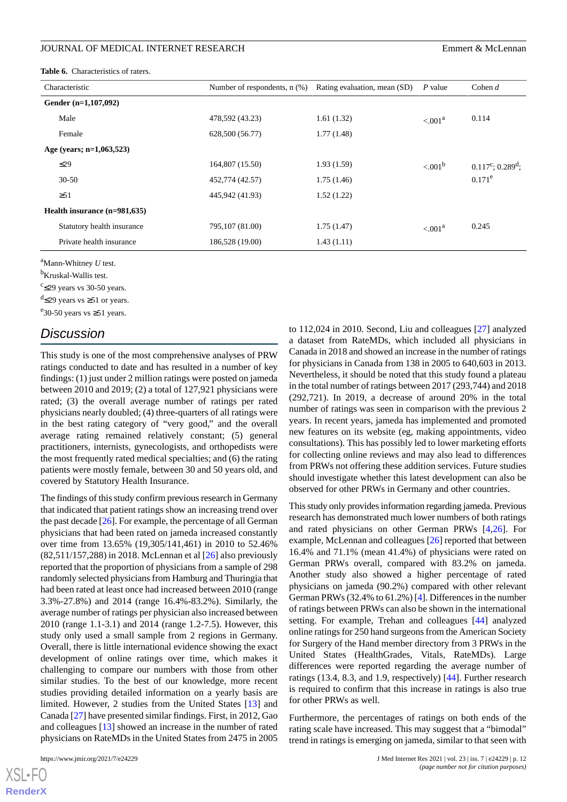#### JOURNAL OF MEDICAL INTERNET RESEARCH EMPLOYEER FOR THE SERVICE OF MELL EMPLOYEERS EMPLOYEER

<span id="page-11-0"></span>**Table 6.** Characteristics of raters.

| Characteristic                 | Number of respondents, $n$ $%$ ) | Rating evaluation, mean (SD) | P value             | Cohen $d$               |
|--------------------------------|----------------------------------|------------------------------|---------------------|-------------------------|
| Gender $(n=1,107,092)$         |                                  |                              |                     |                         |
| Male                           | 478,592 (43.23)                  | 1.61(1.32)                   | < 0.01 <sup>a</sup> | 0.114                   |
| Female                         | 628,500 (56.77)                  | 1.77(1.48)                   |                     |                         |
| Age (years; $n=1,063,523$ )    |                                  |                              |                     |                         |
| $\leq$ 29                      | 164,807 (15.50)                  | 1.93(1.59)                   | $< 0.01^{\rm b}$    | $0.117^c$ ; $0.289^d$ ; |
| $30 - 50$                      | 452,774 (42.57)                  | 1.75(1.46)                   |                     | $0.171^e$               |
| $\geq 51$                      | 445,942 (41.93)                  | 1.52(1.22)                   |                     |                         |
| Health insurance $(n=981,635)$ |                                  |                              |                     |                         |
| Statutory health insurance     | 795,107 (81.00)                  | 1.75(1.47)                   | < 0.01 <sup>a</sup> | 0.245                   |
| Private health insurance       | 186,528 (19.00)                  | 1.43(1.11)                   |                     |                         |

<sup>a</sup>Mann-Whitney *U* test.

<sup>b</sup>Kruskal-Wallis test.

 $c$  <29 years vs 30-50 years.

 $\text{d}'\text{\leq}29$  years vs ≥51 or years.

<sup>e</sup> 30-50 years vs ≥51 years.

# *Discussion*

This study is one of the most comprehensive analyses of PRW ratings conducted to date and has resulted in a number of key findings: (1) just under 2 million ratings were posted on jameda between 2010 and 2019; (2) a total of 127,921 physicians were rated; (3) the overall average number of ratings per rated physicians nearly doubled; (4) three-quarters of all ratings were in the best rating category of "very good," and the overall average rating remained relatively constant; (5) general practitioners, internists, gynecologists, and orthopedists were the most frequently rated medical specialties; and (6) the rating patients were mostly female, between 30 and 50 years old, and covered by Statutory Health Insurance.

The findings of this study confirm previous research in Germany that indicated that patient ratings show an increasing trend over the past decade [\[26](#page-14-14)]. For example, the percentage of all German physicians that had been rated on jameda increased constantly over time from 13.65% (19,305/141,461) in 2010 to 52.46% (82,511/157,288) in 2018. McLennan et al [\[26](#page-14-14)] also previously reported that the proportion of physicians from a sample of 298 randomly selected physicians from Hamburg and Thuringia that had been rated at least once had increased between 2010 (range 3.3%-27.8%) and 2014 (range 16.4%-83.2%). Similarly, the average number of ratings per physician also increased between 2010 (range 1.1-3.1) and 2014 (range 1.2-7.5). However, this study only used a small sample from 2 regions in Germany. Overall, there is little international evidence showing the exact development of online ratings over time, which makes it challenging to compare our numbers with those from other similar studies. To the best of our knowledge, more recent studies providing detailed information on a yearly basis are limited. However, 2 studies from the United States [\[13](#page-13-7)] and Canada [[27](#page-14-15)] have presented similar findings. First, in 2012, Gao and colleagues [\[13](#page-13-7)] showed an increase in the number of rated physicians on RateMDs in the United States from 2475 in 2005

to 112,024 in 2010. Second, Liu and colleagues [\[27](#page-14-15)] analyzed a dataset from RateMDs, which included all physicians in Canada in 2018 and showed an increase in the number of ratings for physicians in Canada from 138 in 2005 to 640,603 in 2013. Nevertheless, it should be noted that this study found a plateau in the total number of ratings between 2017 (293,744) and 2018 (292,721). In 2019, a decrease of around 20% in the total number of ratings was seen in comparison with the previous 2 years. In recent years, jameda has implemented and promoted new features on its website (eg, making appointments, video consultations). This has possibly led to lower marketing efforts for collecting online reviews and may also lead to differences from PRWs not offering these addition services. Future studies should investigate whether this latest development can also be observed for other PRWs in Germany and other countries.

This study only provides information regarding jameda. Previous research has demonstrated much lower numbers of both ratings and rated physicians on other German PRWs [\[4](#page-13-3),[26\]](#page-14-14). For example, McLennan and colleagues [[26\]](#page-14-14) reported that between 16.4% and 71.1% (mean 41.4%) of physicians were rated on German PRWs overall, compared with 83.2% on jameda. Another study also showed a higher percentage of rated physicians on jameda (90.2%) compared with other relevant German PRWs (32.4% to 61.2%) [[4\]](#page-13-3). Differences in the number of ratings between PRWs can also be shown in the international setting. For example, Trehan and colleagues [\[44](#page-15-4)] analyzed online ratings for 250 hand surgeons from the American Society for Surgery of the Hand member directory from 3 PRWs in the United States (HealthGrades, Vitals, RateMDs). Large differences were reported regarding the average number of ratings (13.4, 8.3, and 1.9, respectively) [[44\]](#page-15-4). Further research is required to confirm that this increase in ratings is also true for other PRWs as well.

Furthermore, the percentages of ratings on both ends of the rating scale have increased. This may suggest that a "bimodal" trend in ratings is emerging on jameda, similar to that seen with

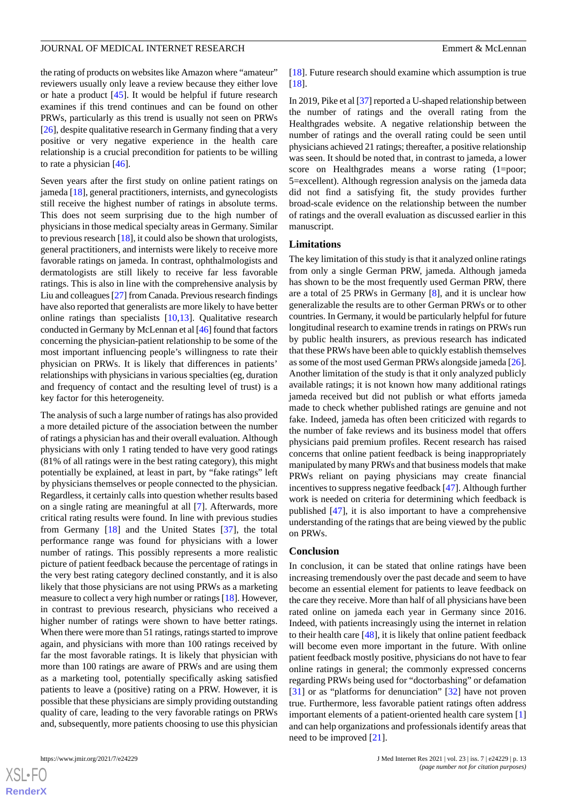### JOURNAL OF MEDICAL INTERNET RESEARCH EMPLOYEER FOR THE SERVICE OF MELL EMPLOYEERS EMPLOYEER

the rating of products on websites like Amazon where "amateur" reviewers usually only leave a review because they either love or hate a product [[45\]](#page-15-5). It would be helpful if future research examines if this trend continues and can be found on other PRWs, particularly as this trend is usually not seen on PRWs [[26\]](#page-14-14), despite qualitative research in Germany finding that a very positive or very negative experience in the health care relationship is a crucial precondition for patients to be willing to rate a physician [\[46](#page-15-6)].

Seven years after the first study on online patient ratings on jameda [[18](#page-14-9)], general practitioners, internists, and gynecologists still receive the highest number of ratings in absolute terms. This does not seem surprising due to the high number of physicians in those medical specialty areas in Germany. Similar to previous research [[18\]](#page-14-9), it could also be shown that urologists, general practitioners, and internists were likely to receive more favorable ratings on jameda. In contrast, ophthalmologists and dermatologists are still likely to receive far less favorable ratings. This is also in line with the comprehensive analysis by Liu and colleagues [\[27](#page-14-15)] from Canada. Previous research findings have also reported that generalists are more likely to have better online ratings than specialists [\[10](#page-13-11),[13\]](#page-13-7). Qualitative research conducted in Germany by McLennan et al [\[46\]](#page-15-6) found that factors concerning the physician-patient relationship to be some of the most important influencing people's willingness to rate their physician on PRWs. It is likely that differences in patients' relationships with physicians in various specialties (eg, duration and frequency of contact and the resulting level of trust) is a key factor for this heterogeneity.

The analysis of such a large number of ratings has also provided a more detailed picture of the association between the number of ratings a physician has and their overall evaluation. Although physicians with only 1 rating tended to have very good ratings (81% of all ratings were in the best rating category), this might potentially be explained, at least in part, by "fake ratings" left by physicians themselves or people connected to the physician. Regardless, it certainly calls into question whether results based on a single rating are meaningful at all [[7\]](#page-13-4). Afterwards, more critical rating results were found. In line with previous studies from Germany [\[18](#page-14-9)] and the United States [[37\]](#page-14-17), the total performance range was found for physicians with a lower number of ratings. This possibly represents a more realistic picture of patient feedback because the percentage of ratings in the very best rating category declined constantly, and it is also likely that those physicians are not using PRWs as a marketing measure to collect a very high number or ratings [\[18](#page-14-9)]. However, in contrast to previous research, physicians who received a higher number of ratings were shown to have better ratings. When there were more than 51 ratings, ratings started to improve again, and physicians with more than 100 ratings received by far the most favorable ratings. It is likely that physician with more than 100 ratings are aware of PRWs and are using them as a marketing tool, potentially specifically asking satisfied patients to leave a (positive) rating on a PRW. However, it is possible that these physicians are simply providing outstanding quality of care, leading to the very favorable ratings on PRWs and, subsequently, more patients choosing to use this physician

 $XS$  • FC **[RenderX](http://www.renderx.com/)**

[[18\]](#page-14-9). Future research should examine which assumption is true [[18\]](#page-14-9).

In 2019, Pike et al [[37](#page-14-17)] reported a U-shaped relationship between the number of ratings and the overall rating from the Healthgrades website. A negative relationship between the number of ratings and the overall rating could be seen until physicians achieved 21 ratings; thereafter, a positive relationship was seen. It should be noted that, in contrast to jameda, a lower score on Healthgrades means a worse rating (1=poor; 5=excellent). Although regression analysis on the jameda data did not find a satisfying fit, the study provides further broad-scale evidence on the relationship between the number of ratings and the overall evaluation as discussed earlier in this manuscript.

#### **Limitations**

The key limitation of this study is that it analyzed online ratings from only a single German PRW, jameda. Although jameda has shown to be the most frequently used German PRW, there are a total of 25 PRWs in Germany [[8\]](#page-13-5), and it is unclear how generalizable the results are to other German PRWs or to other countries. In Germany, it would be particularly helpful for future longitudinal research to examine trends in ratings on PRWs run by public health insurers, as previous research has indicated that these PRWs have been able to quickly establish themselves as some of the most used German PRWs alongside jameda [\[26\]](#page-14-14). Another limitation of the study is that it only analyzed publicly available ratings; it is not known how many additional ratings jameda received but did not publish or what efforts jameda made to check whether published ratings are genuine and not fake. Indeed, jameda has often been criticized with regards to the number of fake reviews and its business model that offers physicians paid premium profiles. Recent research has raised concerns that online patient feedback is being inappropriately manipulated by many PRWs and that business models that make PRWs reliant on paying physicians may create financial incentives to suppress negative feedback [\[47](#page-15-7)]. Although further work is needed on criteria for determining which feedback is published [[47\]](#page-15-7), it is also important to have a comprehensive understanding of the ratings that are being viewed by the public on PRWs.

#### **Conclusion**

In conclusion, it can be stated that online ratings have been increasing tremendously over the past decade and seem to have become an essential element for patients to leave feedback on the care they receive. More than half of all physicians have been rated online on jameda each year in Germany since 2016. Indeed, with patients increasingly using the internet in relation to their health care [\[48](#page-15-8)], it is likely that online patient feedback will become even more important in the future. With online patient feedback mostly positive, physicians do not have to fear online ratings in general; the commonly expressed concerns regarding PRWs being used for "doctorbashing" or defamation [[31\]](#page-14-1) or as "platforms for denunciation" [[32\]](#page-14-2) have not proven true. Furthermore, less favorable patient ratings often address important elements of a patient-oriented health care system [\[1](#page-13-0)] and can help organizations and professionals identify areas that need to be improved [\[21](#page-14-10)].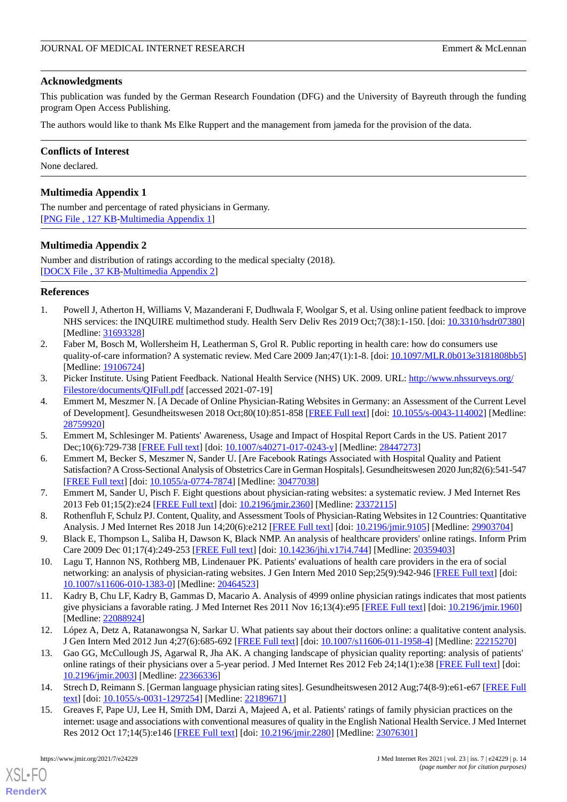### **Acknowledgments**

This publication was funded by the German Research Foundation (DFG) and the University of Bayreuth through the funding program Open Access Publishing.

The authors would like to thank Ms Elke Ruppert and the management from jameda for the provision of the data.

### **Conflicts of Interest**

<span id="page-13-9"></span>None declared.

# **Multimedia Appendix 1**

<span id="page-13-10"></span>The number and percentage of rated physicians in Germany. [[PNG File , 127 KB-Multimedia Appendix 1](https://jmir.org/api/download?alt_name=jmir_v23i7e24229_app1.png&filename=e9cfdd89660cc1abe2daa0dd8fe5aad4.png)]

### **Multimedia Appendix 2**

Number and distribution of ratings according to the medical specialty (2018). [[DOCX File , 37 KB](https://jmir.org/api/download?alt_name=jmir_v23i7e24229_app2.docx&filename=c4c8bb5453a32782958753ede7576342.docx)-[Multimedia Appendix 2\]](https://jmir.org/api/download?alt_name=jmir_v23i7e24229_app2.docx&filename=c4c8bb5453a32782958753ede7576342.docx)

### <span id="page-13-0"></span>**References**

- <span id="page-13-1"></span>1. Powell J, Atherton H, Williams V, Mazanderani F, Dudhwala F, Woolgar S, et al. Using online patient feedback to improve NHS services: the INQUIRE multimethod study. Health Serv Deliv Res 2019 Oct;7(38):1-150. [doi: [10.3310/hsdr07380\]](http://dx.doi.org/10.3310/hsdr07380) [Medline: [31693328](http://www.ncbi.nlm.nih.gov/entrez/query.fcgi?cmd=Retrieve&db=PubMed&list_uids=31693328&dopt=Abstract)]
- <span id="page-13-2"></span>2. Faber M, Bosch M, Wollersheim H, Leatherman S, Grol R. Public reporting in health care: how do consumers use quality-of-care information? A systematic review. Med Care 2009 Jan;47(1):1-8. [doi: [10.1097/MLR.0b013e3181808bb5](http://dx.doi.org/10.1097/MLR.0b013e3181808bb5)] [Medline: [19106724](http://www.ncbi.nlm.nih.gov/entrez/query.fcgi?cmd=Retrieve&db=PubMed&list_uids=19106724&dopt=Abstract)]
- <span id="page-13-3"></span>3. Picker Institute. Using Patient Feedback. National Health Service (NHS) UK. 2009. URL: [http://www.nhssurveys.org/](http://www.nhssurveys.org/Filestore/documents/QIFull.pdf) [Filestore/documents/QIFull.pdf](http://www.nhssurveys.org/Filestore/documents/QIFull.pdf) [accessed 2021-07-19]
- 4. Emmert M, Meszmer N. [A Decade of Online Physician-Rating Websites in Germany: an Assessment of the Current Level of Development]. Gesundheitswesen 2018 Oct;80(10):851-858 [\[FREE Full text\]](https://doi.org/10.1055/s-0043-114002) [doi: [10.1055/s-0043-114002\]](http://dx.doi.org/10.1055/s-0043-114002) [Medline: [28759920](http://www.ncbi.nlm.nih.gov/entrez/query.fcgi?cmd=Retrieve&db=PubMed&list_uids=28759920&dopt=Abstract)]
- <span id="page-13-4"></span>5. Emmert M, Schlesinger M. Patients' Awareness, Usage and Impact of Hospital Report Cards in the US. Patient 2017 Dec;10(6):729-738 [\[FREE Full text](https://doi.org/10.1007/s40271-017-0243-y)] [doi: [10.1007/s40271-017-0243-y\]](http://dx.doi.org/10.1007/s40271-017-0243-y) [Medline: [28447273\]](http://www.ncbi.nlm.nih.gov/entrez/query.fcgi?cmd=Retrieve&db=PubMed&list_uids=28447273&dopt=Abstract)
- <span id="page-13-5"></span>6. Emmert M, Becker S, Meszmer N, Sander U. [Are Facebook Ratings Associated with Hospital Quality and Patient Satisfaction? A Cross-Sectional Analysis of Obstetrics Care in German Hospitals]. Gesundheitswesen 2020 Jun;82(6):541-547 [[FREE Full text](https://doi.org/10.1055/a-0774-7874)] [doi: [10.1055/a-0774-7874\]](http://dx.doi.org/10.1055/a-0774-7874) [Medline: [30477038\]](http://www.ncbi.nlm.nih.gov/entrez/query.fcgi?cmd=Retrieve&db=PubMed&list_uids=30477038&dopt=Abstract)
- <span id="page-13-6"></span>7. Emmert M, Sander U, Pisch F. Eight questions about physician-rating websites: a systematic review. J Med Internet Res 2013 Feb 01;15(2):e24 [\[FREE Full text](https://www.jmir.org/2013/2/e24/)] [doi: [10.2196/jmir.2360\]](http://dx.doi.org/10.2196/jmir.2360) [Medline: [23372115](http://www.ncbi.nlm.nih.gov/entrez/query.fcgi?cmd=Retrieve&db=PubMed&list_uids=23372115&dopt=Abstract)]
- <span id="page-13-11"></span>8. Rothenfluh F, Schulz PJ. Content, Quality, and Assessment Tools of Physician-Rating Websites in 12 Countries: Quantitative Analysis. J Med Internet Res 2018 Jun 14;20(6):e212 [\[FREE Full text\]](https://www.jmir.org/2018/6/e212/) [doi: [10.2196/jmir.9105\]](http://dx.doi.org/10.2196/jmir.9105) [Medline: [29903704\]](http://www.ncbi.nlm.nih.gov/entrez/query.fcgi?cmd=Retrieve&db=PubMed&list_uids=29903704&dopt=Abstract)
- 9. Black E, Thompson L, Saliba H, Dawson K, Black NMP. An analysis of healthcare providers' online ratings. Inform Prim Care 2009 Dec 01;17(4):249-253 [\[FREE Full text\]](http://hijournal.bcs.org/index.php/jhi/article/view/744) [doi: [10.14236/jhi.v17i4.744\]](http://dx.doi.org/10.14236/jhi.v17i4.744) [Medline: [20359403](http://www.ncbi.nlm.nih.gov/entrez/query.fcgi?cmd=Retrieve&db=PubMed&list_uids=20359403&dopt=Abstract)]
- 10. Lagu T, Hannon NS, Rothberg MB, Lindenauer PK. Patients' evaluations of health care providers in the era of social networking: an analysis of physician-rating websites. J Gen Intern Med 2010 Sep;25(9):942-946 [\[FREE Full text\]](http://europepmc.org/abstract/MED/20464523) [doi: [10.1007/s11606-010-1383-0\]](http://dx.doi.org/10.1007/s11606-010-1383-0) [Medline: [20464523](http://www.ncbi.nlm.nih.gov/entrez/query.fcgi?cmd=Retrieve&db=PubMed&list_uids=20464523&dopt=Abstract)]
- <span id="page-13-7"></span>11. Kadry B, Chu LF, Kadry B, Gammas D, Macario A. Analysis of 4999 online physician ratings indicates that most patients give physicians a favorable rating. J Med Internet Res 2011 Nov 16;13(4):e95 [\[FREE Full text\]](https://www.jmir.org/2011/4/e95/) [doi: [10.2196/jmir.1960\]](http://dx.doi.org/10.2196/jmir.1960) [Medline: [22088924](http://www.ncbi.nlm.nih.gov/entrez/query.fcgi?cmd=Retrieve&db=PubMed&list_uids=22088924&dopt=Abstract)]
- <span id="page-13-8"></span>12. López A, Detz A, Ratanawongsa N, Sarkar U. What patients say about their doctors online: a qualitative content analysis. J Gen Intern Med 2012 Jun 4;27(6):685-692 [[FREE Full text\]](http://europepmc.org/abstract/MED/22215270) [doi: [10.1007/s11606-011-1958-4](http://dx.doi.org/10.1007/s11606-011-1958-4)] [Medline: [22215270](http://www.ncbi.nlm.nih.gov/entrez/query.fcgi?cmd=Retrieve&db=PubMed&list_uids=22215270&dopt=Abstract)]
- 13. Gao GG, McCullough JS, Agarwal R, Jha AK. A changing landscape of physician quality reporting: analysis of patients' online ratings of their physicians over a 5-year period. J Med Internet Res 2012 Feb 24;14(1):e38 [\[FREE Full text\]](https://www.jmir.org/2012/1/e38/) [doi: [10.2196/jmir.2003](http://dx.doi.org/10.2196/jmir.2003)] [Medline: [22366336](http://www.ncbi.nlm.nih.gov/entrez/query.fcgi?cmd=Retrieve&db=PubMed&list_uids=22366336&dopt=Abstract)]
- 14. Strech D, Reimann S. [German language physician rating sites]. Gesundheitswesen 2012 Aug;74(8-9):e61-e67 [\[FREE Full](https://doi.org/10.1055/s-0031-1297254) [text](https://doi.org/10.1055/s-0031-1297254)] [doi: [10.1055/s-0031-1297254](http://dx.doi.org/10.1055/s-0031-1297254)] [Medline: [22189671](http://www.ncbi.nlm.nih.gov/entrez/query.fcgi?cmd=Retrieve&db=PubMed&list_uids=22189671&dopt=Abstract)]
- 15. Greaves F, Pape UJ, Lee H, Smith DM, Darzi A, Majeed A, et al. Patients' ratings of family physician practices on the internet: usage and associations with conventional measures of quality in the English National Health Service. J Med Internet Res 2012 Oct 17;14(5):e146 [[FREE Full text](https://www.jmir.org/2012/5/e146/)] [doi: [10.2196/jmir.2280\]](http://dx.doi.org/10.2196/jmir.2280) [Medline: [23076301](http://www.ncbi.nlm.nih.gov/entrez/query.fcgi?cmd=Retrieve&db=PubMed&list_uids=23076301&dopt=Abstract)]

[XSL](http://www.w3.org/Style/XSL)•FO **[RenderX](http://www.renderx.com/)**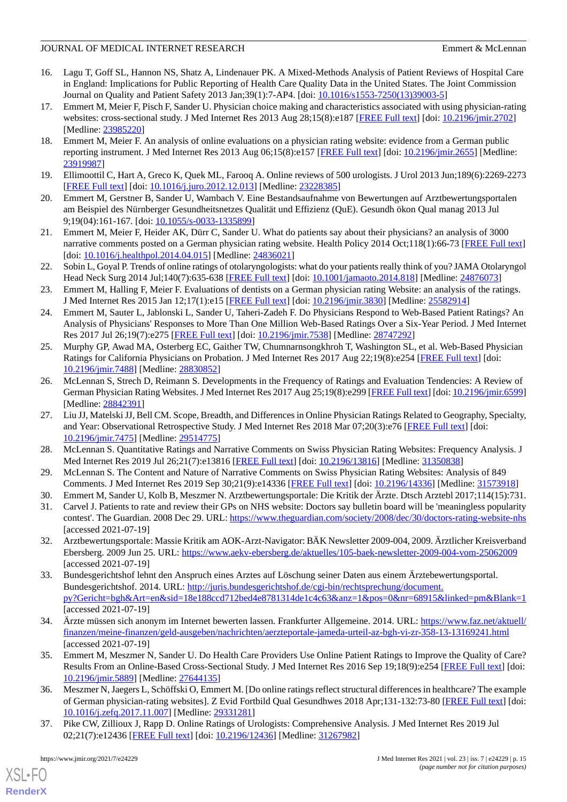## JOURNAL OF MEDICAL INTERNET RESEARCH EMPLOYEER FOR THE SERVICE OF MELL AND LETTER OF MELL AND LETTER SERVICE OF THE SERVICE OF THE SERVICE OF THE SERVICE OF THE SERVICE OF THE SERVICE OF THE SERVICE OF THE SERVICE OF THE S

- 16. Lagu T, Goff SL, Hannon NS, Shatz A, Lindenauer PK. A Mixed-Methods Analysis of Patient Reviews of Hospital Care in England: Implications for Public Reporting of Health Care Quality Data in the United States. The Joint Commission Journal on Quality and Patient Safety 2013 Jan;39(1):7-AP4. [doi: [10.1016/s1553-7250\(13\)39003-5\]](http://dx.doi.org/10.1016/s1553-7250(13)39003-5)
- <span id="page-14-7"></span>17. Emmert M, Meier F, Pisch F, Sander U. Physician choice making and characteristics associated with using physician-rating websites: cross-sectional study. J Med Internet Res 2013 Aug 28;15(8):e187 [\[FREE Full text\]](https://www.jmir.org/2013/8/e187/) [doi: [10.2196/jmir.2702\]](http://dx.doi.org/10.2196/jmir.2702) [Medline: [23985220](http://www.ncbi.nlm.nih.gov/entrez/query.fcgi?cmd=Retrieve&db=PubMed&list_uids=23985220&dopt=Abstract)]
- <span id="page-14-9"></span>18. Emmert M, Meier F. An analysis of online evaluations on a physician rating website: evidence from a German public reporting instrument. J Med Internet Res 2013 Aug 06;15(8):e157 [\[FREE Full text\]](https://www.jmir.org/2013/8/e157/) [doi: [10.2196/jmir.2655](http://dx.doi.org/10.2196/jmir.2655)] [Medline: [23919987](http://www.ncbi.nlm.nih.gov/entrez/query.fcgi?cmd=Retrieve&db=PubMed&list_uids=23919987&dopt=Abstract)]
- 19. Ellimoottil C, Hart A, Greco K, Quek ML, Farooq A. Online reviews of 500 urologists. J Urol 2013 Jun;189(6):2269-2273 [[FREE Full text](https://doi.org/10.1016/j.juro.2012.12.013)] [doi: [10.1016/j.juro.2012.12.013\]](http://dx.doi.org/10.1016/j.juro.2012.12.013) [Medline: [23228385](http://www.ncbi.nlm.nih.gov/entrez/query.fcgi?cmd=Retrieve&db=PubMed&list_uids=23228385&dopt=Abstract)]
- <span id="page-14-10"></span>20. Emmert M, Gerstner B, Sander U, Wambach V. Eine Bestandsaufnahme von Bewertungen auf Arztbewertungsportalen am Beispiel des Nürnberger Gesundheitsnetzes Qualität und Effizienz (QuE). Gesundh ökon Qual manag 2013 Jul 9;19(04):161-167. [doi: [10.1055/s-0033-1335899](http://dx.doi.org/10.1055/s-0033-1335899)]
- <span id="page-14-11"></span>21. Emmert M, Meier F, Heider AK, Dürr C, Sander U. What do patients say about their physicians? an analysis of 3000 narrative comments posted on a German physician rating website. Health Policy 2014 Oct;118(1):66-73 [\[FREE Full text](https://doi.org/10.1016/j.healthpol.2014.04.015)] [doi: [10.1016/j.healthpol.2014.04.015](http://dx.doi.org/10.1016/j.healthpol.2014.04.015)] [Medline: [24836021\]](http://www.ncbi.nlm.nih.gov/entrez/query.fcgi?cmd=Retrieve&db=PubMed&list_uids=24836021&dopt=Abstract)
- <span id="page-14-12"></span>22. Sobin L, Goyal P. Trends of online ratings of otolaryngologists: what do your patients really think of you? JAMA Otolaryngol Head Neck Surg 2014 Jul;140(7):635-638 [\[FREE Full text\]](https://doi.org/10.1001/jamaoto.2014.818) [doi: [10.1001/jamaoto.2014.818\]](http://dx.doi.org/10.1001/jamaoto.2014.818) [Medline: [24876073](http://www.ncbi.nlm.nih.gov/entrez/query.fcgi?cmd=Retrieve&db=PubMed&list_uids=24876073&dopt=Abstract)]
- <span id="page-14-16"></span>23. Emmert M, Halling F, Meier F. Evaluations of dentists on a German physician rating Website: an analysis of the ratings. J Med Internet Res 2015 Jan 12;17(1):e15 [[FREE Full text](https://www.jmir.org/2015/1/e15/)] [doi: [10.2196/jmir.3830](http://dx.doi.org/10.2196/jmir.3830)] [Medline: [25582914\]](http://www.ncbi.nlm.nih.gov/entrez/query.fcgi?cmd=Retrieve&db=PubMed&list_uids=25582914&dopt=Abstract)
- 24. Emmert M, Sauter L, Jablonski L, Sander U, Taheri-Zadeh F. Do Physicians Respond to Web-Based Patient Ratings? An Analysis of Physicians' Responses to More Than One Million Web-Based Ratings Over a Six-Year Period. J Med Internet Res 2017 Jul 26;19(7):e275 [\[FREE Full text\]](https://www.jmir.org/2017/7/e275/) [doi: [10.2196/jmir.7538\]](http://dx.doi.org/10.2196/jmir.7538) [Medline: [28747292](http://www.ncbi.nlm.nih.gov/entrez/query.fcgi?cmd=Retrieve&db=PubMed&list_uids=28747292&dopt=Abstract)]
- <span id="page-14-14"></span>25. Murphy GP, Awad MA, Osterberg EC, Gaither TW, Chumnarnsongkhroh T, Washington SL, et al. Web-Based Physician Ratings for California Physicians on Probation. J Med Internet Res 2017 Aug 22;19(8):e254 [\[FREE Full text\]](https://www.jmir.org/2017/8/e254/) [doi: [10.2196/jmir.7488](http://dx.doi.org/10.2196/jmir.7488)] [Medline: [28830852](http://www.ncbi.nlm.nih.gov/entrez/query.fcgi?cmd=Retrieve&db=PubMed&list_uids=28830852&dopt=Abstract)]
- <span id="page-14-15"></span>26. McLennan S, Strech D, Reimann S. Developments in the Frequency of Ratings and Evaluation Tendencies: A Review of German Physician Rating Websites. J Med Internet Res 2017 Aug 25;19(8):e299 [[FREE Full text](https://www.jmir.org/2017/8/e299/)] [doi: [10.2196/jmir.6599](http://dx.doi.org/10.2196/jmir.6599)] [Medline: [28842391](http://www.ncbi.nlm.nih.gov/entrez/query.fcgi?cmd=Retrieve&db=PubMed&list_uids=28842391&dopt=Abstract)]
- <span id="page-14-4"></span><span id="page-14-3"></span>27. Liu JJ, Matelski JJ, Bell CM. Scope, Breadth, and Differences in Online Physician Ratings Related to Geography, Specialty, and Year: Observational Retrospective Study. J Med Internet Res 2018 Mar 07;20(3):e76 [[FREE Full text](https://www.jmir.org/2018/3/e76/)] [doi: [10.2196/jmir.7475](http://dx.doi.org/10.2196/jmir.7475)] [Medline: [29514775](http://www.ncbi.nlm.nih.gov/entrez/query.fcgi?cmd=Retrieve&db=PubMed&list_uids=29514775&dopt=Abstract)]
- <span id="page-14-1"></span><span id="page-14-0"></span>28. McLennan S. Quantitative Ratings and Narrative Comments on Swiss Physician Rating Websites: Frequency Analysis. J Med Internet Res 2019 Jul 26;21(7):e13816 [[FREE Full text](https://www.jmir.org/2019/7/e13816/)] [doi: [10.2196/13816\]](http://dx.doi.org/10.2196/13816) [Medline: [31350838](http://www.ncbi.nlm.nih.gov/entrez/query.fcgi?cmd=Retrieve&db=PubMed&list_uids=31350838&dopt=Abstract)]
- 29. McLennan S. The Content and Nature of Narrative Comments on Swiss Physician Rating Websites: Analysis of 849 Comments. J Med Internet Res 2019 Sep 30;21(9):e14336 [[FREE Full text](https://www.jmir.org/2019/9/e14336/)] [doi: [10.2196/14336\]](http://dx.doi.org/10.2196/14336) [Medline: [31573918](http://www.ncbi.nlm.nih.gov/entrez/query.fcgi?cmd=Retrieve&db=PubMed&list_uids=31573918&dopt=Abstract)]
- <span id="page-14-2"></span>30. Emmert M, Sander U, Kolb B, Meszmer N. Arztbewertungsportale: Die Kritik der Ärzte. Dtsch Arztebl 2017;114(15):731.
- <span id="page-14-5"></span>31. Carvel J. Patients to rate and review their GPs on NHS website: Doctors say bulletin board will be 'meaningless popularity contest'. The Guardian. 2008 Dec 29. URL:<https://www.theguardian.com/society/2008/dec/30/doctors-rating-website-nhs> [accessed 2021-07-19]
- 32. Arztbewertungsportale: Massie Kritik am AOK-Arzt-Navigator: BÄK Newsletter 2009-004, 2009. Ärztlicher Kreisverband Ebersberg. 2009 Jun 25. URL:<https://www.aekv-ebersberg.de/aktuelles/105-baek-newsletter-2009-004-vom-25062009> [accessed 2021-07-19]
- <span id="page-14-8"></span><span id="page-14-6"></span>33. Bundesgerichtshof lehnt den Anspruch eines Arztes auf Löschung seiner Daten aus einem Ärztebewertungsportal. Bundesgerichtshof. 2014. URL: [http://juris.bundesgerichtshof.de/cgi-bin/rechtsprechung/document.](http://juris.bundesgerichtshof.de/cgi-bin/rechtsprechung/document.py?Gericht=bgh&Art=en&sid=18e188ccd712bed4e8781314de1c4c63&anz=1&pos=0&nr=68915&linked=pm&Blank=1) [py?Gericht=bgh&Art=en&sid=18e188ccd712bed4e8781314de1c4c63&anz=1&pos=0&nr=68915&linked=pm&Blank=1](http://juris.bundesgerichtshof.de/cgi-bin/rechtsprechung/document.py?Gericht=bgh&Art=en&sid=18e188ccd712bed4e8781314de1c4c63&anz=1&pos=0&nr=68915&linked=pm&Blank=1) [accessed 2021-07-19]
- <span id="page-14-13"></span>34. Ärzte müssen sich anonym im Internet bewerten lassen. Frankfurter Allgemeine. 2014. URL: [https://www.faz.net/aktuell/](https://www.faz.net/aktuell/finanzen/meine-finanzen/geld-ausgeben/nachrichten/aerzteportale-jameda-urteil-az-bgh-vi-zr-358-13-13169241.html) [finanzen/meine-finanzen/geld-ausgeben/nachrichten/aerzteportale-jameda-urteil-az-bgh-vi-zr-358-13-13169241.html](https://www.faz.net/aktuell/finanzen/meine-finanzen/geld-ausgeben/nachrichten/aerzteportale-jameda-urteil-az-bgh-vi-zr-358-13-13169241.html) [accessed 2021-07-19]
- <span id="page-14-17"></span>35. Emmert M, Meszmer N, Sander U. Do Health Care Providers Use Online Patient Ratings to Improve the Quality of Care? Results From an Online-Based Cross-Sectional Study. J Med Internet Res 2016 Sep 19;18(9):e254 [\[FREE Full text\]](https://www.jmir.org/2016/9/e254/) [doi: [10.2196/jmir.5889](http://dx.doi.org/10.2196/jmir.5889)] [Medline: [27644135](http://www.ncbi.nlm.nih.gov/entrez/query.fcgi?cmd=Retrieve&db=PubMed&list_uids=27644135&dopt=Abstract)]
- 36. Meszmer N, Jaegers L, Schöffski O, Emmert M. [Do online ratings reflect structural differences in healthcare? The example of German physician-rating websites]. Z Evid Fortbild Qual Gesundhwes 2018 Apr;131-132:73-80 [[FREE Full text](https://doi.org/10.1016/j.zefq.2017.11.007)] [doi: [10.1016/j.zefq.2017.11.007\]](http://dx.doi.org/10.1016/j.zefq.2017.11.007) [Medline: [29331281\]](http://www.ncbi.nlm.nih.gov/entrez/query.fcgi?cmd=Retrieve&db=PubMed&list_uids=29331281&dopt=Abstract)
- 37. Pike CW, Zillioux J, Rapp D. Online Ratings of Urologists: Comprehensive Analysis. J Med Internet Res 2019 Jul 02;21(7):e12436 [\[FREE Full text](https://www.jmir.org/2019/7/e12436/)] [doi: [10.2196/12436\]](http://dx.doi.org/10.2196/12436) [Medline: [31267982\]](http://www.ncbi.nlm.nih.gov/entrez/query.fcgi?cmd=Retrieve&db=PubMed&list_uids=31267982&dopt=Abstract)

[XSL](http://www.w3.org/Style/XSL)•FO **[RenderX](http://www.renderx.com/)**